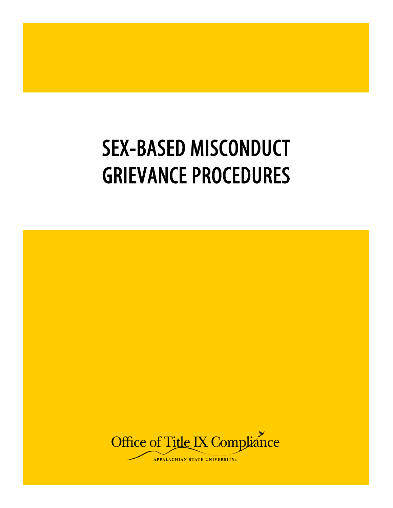# SEX-BASED MISCONDUCT GRIEVANCE PROCEDURES

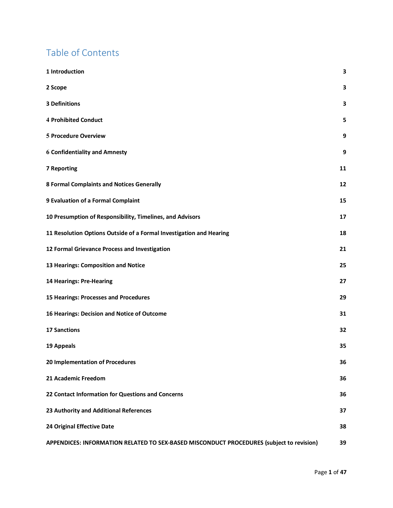# Table of Contents

| 1 Introduction                                                                           | 3  |
|------------------------------------------------------------------------------------------|----|
| 2 Scope                                                                                  | 3  |
| <b>3 Definitions</b>                                                                     | 3  |
| <b>4 Prohibited Conduct</b>                                                              | 5  |
| 5 Procedure Overview                                                                     | 9  |
| <b>6 Confidentiality and Amnesty</b>                                                     | 9  |
| <b>7 Reporting</b>                                                                       | 11 |
| <b>8 Formal Complaints and Notices Generally</b>                                         | 12 |
| 9 Evaluation of a Formal Complaint                                                       | 15 |
| 10 Presumption of Responsibility, Timelines, and Advisors                                | 17 |
| 11 Resolution Options Outside of a Formal Investigation and Hearing                      | 18 |
| 12 Formal Grievance Process and Investigation                                            | 21 |
| 13 Hearings: Composition and Notice                                                      | 25 |
| 14 Hearings: Pre-Hearing                                                                 | 27 |
| 15 Hearings: Processes and Procedures                                                    | 29 |
| 16 Hearings: Decision and Notice of Outcome                                              | 31 |
| <b>17 Sanctions</b>                                                                      | 32 |
| 19 Appeals                                                                               | 35 |
| 20 Implementation of Procedures                                                          | 36 |
| 21 Academic Freedom                                                                      | 36 |
| 22 Contact Information for Questions and Concerns                                        | 36 |
| 23 Authority and Additional References                                                   | 37 |
| 24 Original Effective Date                                                               | 38 |
| APPENDICES: INFORMATION RELATED TO SEX-BASED MISCONDUCT PROCEDURES (subject to revision) | 39 |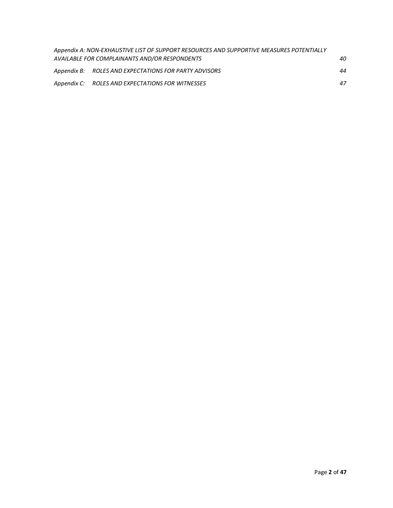| Appendix A: NON-EXHAUSTIVE LIST OF SUPPORT RESOURCES AND SUPPORTIVE MEASURES POTENTIALLY |    |
|------------------------------------------------------------------------------------------|----|
| AVAILABLE FOR COMPLAINANTS AND/OR RESPONDENTS                                            | 40 |
| Appendix B: ROLES AND EXPECTATIONS FOR PARTY ADVISORS                                    | 44 |
| Appendix C: ROLES AND EXPECTATIONS FOR WITNESSES                                         | 47 |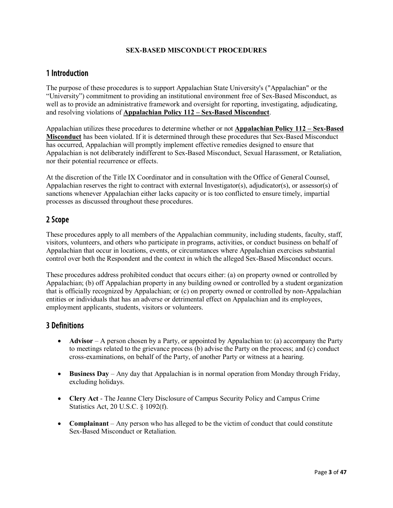#### **SEX-BASED MISCONDUCT PROCEDURES**

# <span id="page-3-0"></span>1 Introduction

The purpose of these procedures is to support Appalachian State University's ("Appalachian" or the "University") commitment to providing an institutional environment free of Sex-Based Misconduct, as well as to provide an administrative framework and oversight for reporting, investigating, adjudicating, and resolving violations of **Appalachian Policy 112 – Sex-Based Misconduct**.

Appalachian utilizes these procedures to determine whether or not **Appalachian Policy 112 – Sex-Based Misconduct** has been violated. If it is determined through these procedures that Sex-Based Misconduct has occurred, Appalachian will promptly implement effective remedies designed to ensure that Appalachian is not deliberately indifferent to Sex-Based Misconduct, Sexual Harassment, or Retaliation, nor their potential recurrence or effects.

At the discretion of the Title IX Coordinator and in consultation with the Office of General Counsel, Appalachian reserves the right to contract with external Investigator(s), adjudicator(s), or assessor(s) of sanctions whenever Appalachian either lacks capacity or is too conflicted to ensure timely, impartial processes as discussed throughout these procedures.

# <span id="page-3-1"></span>2 Scope

These procedures apply to all members of the Appalachian community, including students, faculty, staff, visitors, volunteers, and others who participate in programs, activities, or conduct business on behalf of Appalachian that occur in locations, events, or circumstances where Appalachian exercises substantial control over both the Respondent and the context in which the alleged Sex-Based Misconduct occurs.

These procedures address prohibited conduct that occurs either: (a) on property owned or controlled by Appalachian; (b) off Appalachian property in any building owned or controlled by a student organization that is officially recognized by Appalachian; or (c) on property owned or controlled by non-Appalachian entities or individuals that has an adverse or detrimental effect on Appalachian and its employees, employment applicants, students, visitors or volunteers.

# <span id="page-3-2"></span>3 Definitions

- **Advisor** A person chosen by a Party, or appointed by Appalachian to: (a) accompany the Party to meetings related to the grievance process (b) advise the Party on the process; and (c) conduct cross-examinations, on behalf of the Party, of another Party or witness at a hearing.
- **Business Day** Any day that Appalachian is in normal operation from Monday through Friday, excluding holidays.
- **Clery Act** The Jeanne Clery Disclosure of Campus Security Policy and Campus Crime Statistics Act, 20 U.S.C. § 1092(f).
- **Complainant** Any person who has alleged to be the victim of conduct that could constitute Sex-Based Misconduct or Retaliation.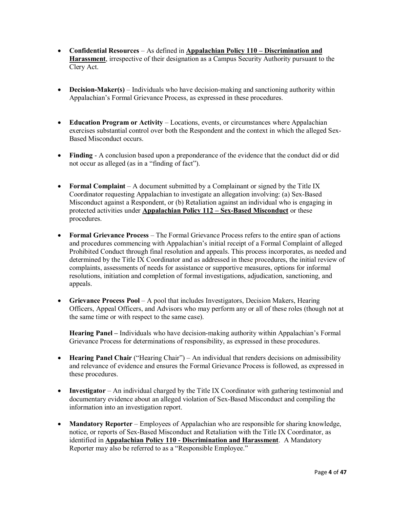- **Confidential Resources**  As defined in **Appalachian Policy 110 – Discrimination and Harassment**, irrespective of their designation as a Campus Security Authority pursuant to the Clery Act.
- **Decision-Maker(s)** Individuals who have decision-making and sanctioning authority within Appalachian's Formal Grievance Process, as expressed in these procedures.
- **Education Program or Activity** Locations, events, or circumstances where Appalachian exercises substantial control over both the Respondent and the context in which the alleged Sex-Based Misconduct occurs.
- **Finding** A conclusion based upon a preponderance of the evidence that the conduct did or did not occur as alleged (as in a "finding of fact").
- **Formal Complaint** A document submitted by a Complainant or signed by the Title IX Coordinator requesting Appalachian to investigate an allegation involving: (a) Sex-Based Misconduct against a Respondent, or (b) Retaliation against an individual who is engaging in protected activities under **Appalachian Policy 112 – Sex-Based Misconduct** or these procedures.
- **Formal Grievance Process** The Formal Grievance Process refers to the entire span of actions and procedures commencing with Appalachian's initial receipt of a Formal Complaint of alleged Prohibited Conduct through final resolution and appeals. This process incorporates, as needed and determined by the Title IX Coordinator and as addressed in these procedures, the initial review of complaints, assessments of needs for assistance or supportive measures, options for informal resolutions, initiation and completion of formal investigations, adjudication, sanctioning, and appeals.
- **Grievance Process Pool** A pool that includes Investigators, Decision Makers, Hearing Officers, Appeal Officers, and Advisors who may perform any or all of these roles (though not at the same time or with respect to the same case).

**Hearing Panel –** Individuals who have decision-making authority within Appalachian's Formal Grievance Process for determinations of responsibility, as expressed in these procedures.

- **Hearing Panel Chair** ("Hearing Chair") An individual that renders decisions on admissibility and relevance of evidence and ensures the Formal Grievance Process is followed, as expressed in these procedures.
- **Investigator** An individual charged by the Title IX Coordinator with gathering testimonial and documentary evidence about an alleged violation of Sex-Based Misconduct and compiling the information into an investigation report.
- **Mandatory Reporter** Employees of Appalachian who are responsible for sharing knowledge, notice, or reports of Sex-Based Misconduct and Retaliation with the Title IX Coordinator, as identified in **Appalachian Policy 110 - Discrimination and Harassment**. A Mandatory Reporter may also be referred to as a "Responsible Employee."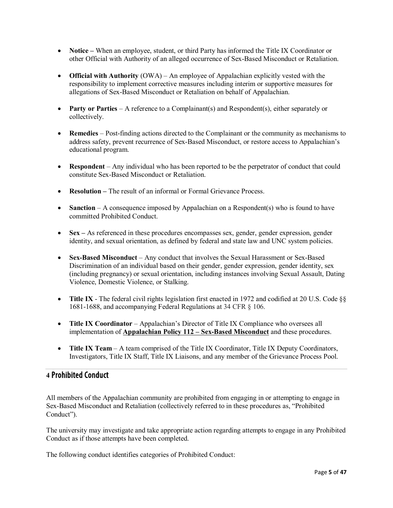- **Notice** When an employee, student, or third Party has informed the Title IX Coordinator or other Official with Authority of an alleged occurrence of Sex-Based Misconduct or Retaliation.
- **Official with Authority** (OWA) An employee of Appalachian explicitly vested with the responsibility to implement corrective measures including interim or supportive measures for allegations of Sex-Based Misconduct or Retaliation on behalf of Appalachian.
- **Party or Parties** A reference to a Complainant(s) and Respondent(s), either separately or collectively.
- **Remedies** Post-finding actions directed to the Complainant or the community as mechanisms to address safety, prevent recurrence of Sex-Based Misconduct, or restore access to Appalachian's educational program.
- **Respondent** Any individual who has been reported to be the perpetrator of conduct that could constitute Sex-Based Misconduct or Retaliation.
- **Resolution** The result of an informal or Formal Grievance Process.
- **Sanction** A consequence imposed by Appalachian on a Respondent(s) who is found to have committed Prohibited Conduct.
- **Sex** As referenced in these procedures encompasses sex, gender, gender expression, gender identity, and sexual orientation, as defined by federal and state law and UNC system policies.
- **Sex-Based Misconduct** Any conduct that involves the Sexual Harassment or Sex-Based Discrimination of an individual based on their gender, gender expression, gender identity, sex (including pregnancy) or sexual orientation, including instances involving Sexual Assault, Dating Violence, Domestic Violence, or Stalking.
- **Title IX** The federal civil rights legislation first enacted in 1972 and codified at 20 U.S. Code §§ 1681-1688, and accompanying Federal Regulations at 34 CFR § 106.
- **Title IX Coordinator** Appalachian's Director of Title IX Compliance who oversees all implementation of **Appalachian Policy 112 – Sex-Based Misconduct** and these procedures.
- **Title IX Team** A team comprised of the Title IX Coordinator, Title IX Deputy Coordinators, Investigators, Title IX Staff, Title IX Liaisons, and any member of the Grievance Process Pool.

# <span id="page-5-0"></span>**4** Prohibited Conduct

All members of the Appalachian community are prohibited from engaging in or attempting to engage in Sex-Based Misconduct and Retaliation (collectively referred to in these procedures as, "Prohibited Conduct").

The university may investigate and take appropriate action regarding attempts to engage in any Prohibited Conduct as if those attempts have been completed.

The following conduct identifies categories of Prohibited Conduct: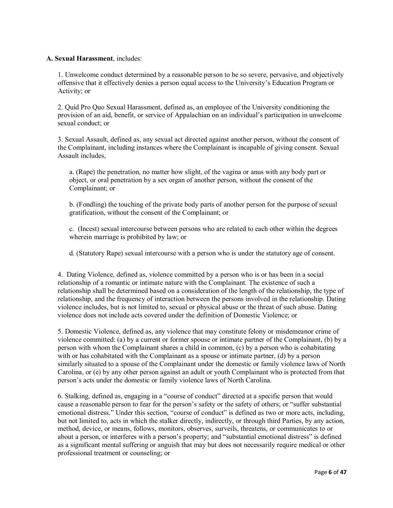#### **A. Sexual Harassment**, includes:

1. Unwelcome conduct determined by a reasonable person to be so severe, pervasive, and objectively offensive that it effectively denies a person equal access to the University's Education Program or Activity; or

2. Quid Pro Quo Sexual Harassment, defined as, an employee of the University conditioning the provision of an aid, benefit, or service of Appalachian on an individual's participation in unwelcome sexual conduct; or

3. Sexual Assault, defined as, any sexual act directed against another person, without the consent of the Complainant, including instances where the Complainant is incapable of giving consent. Sexual Assault includes,

a. (Rape) the penetration, no matter how slight, of the vagina or anus with any body part or object, or oral penetration by a sex organ of another person, without the consent of the Complainant; or

b. (Fondling) the touching of the private body parts of another person for the purpose of sexual gratification, without the consent of the Complainant; or

c. (Incest) sexual intercourse between persons who are related to each other within the degrees wherein marriage is prohibited by law; or

d. (Statutory Rape) sexual intercourse with a person who is under the statutory age of consent.

4. Dating Violence, defined as, violence committed by a person who is or has been in a social relationship of a romantic or intimate nature with the Complainant. The existence of such a relationship shall be determined based on a consideration of the length of the relationship, the type of relationship, and the frequency of interaction between the persons involved in the relationship. Dating violence includes, but is not limited to, sexual or physical abuse or the threat of such abuse. Dating violence does not include acts covered under the definition of Domestic Violence; or

5. Domestic Violence, defined as, any violence that may constitute felony or misdemeanor crime of violence committed: (a) by a current or former spouse or intimate partner of the Complainant, (b) by a person with whom the Complainant shares a child in common, (c) by a person who is cohabitating with or has cohabitated with the Complainant as a spouse or intimate partner, (d) by a person similarly situated to a spouse of the Complainant under the domestic or family violence laws of North Carolina, or (e) by any other person against an adult or youth Complainant who is protected from that person's acts under the domestic or family violence laws of North Carolina.

6. Stalking, defined as, engaging in a "course of conduct" directed at a specific person that would cause a reasonable person to fear for the person's safety or the safety of others; or "suffer substantial emotional distress." Under this section, "course of conduct" is defined as two or more acts, including, but not limited to, acts in which the stalker directly, indirectly, or through third Parties, by any action, method, device, or means, follows, monitors, observes, surveils, threatens, or communicates to or about a person, or interferes with a person's property; and "substantial emotional distress" is defined as a significant mental suffering or anguish that may but does not necessarily require medical or other professional treatment or counseling; or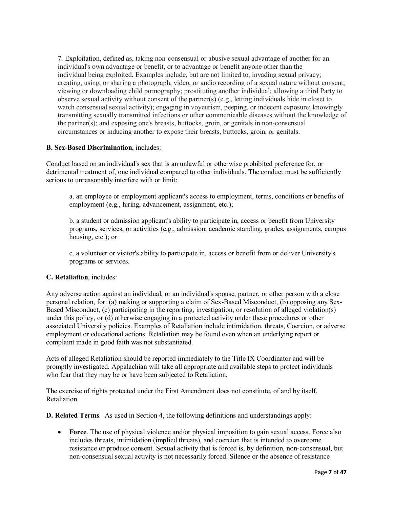7. Exploitation, defined as, taking non-consensual or abusive sexual advantage of another for an individual's own advantage or benefit, or to advantage or benefit anyone other than the individual being exploited. Examples include, but are not limited to, invading sexual privacy; creating, using, or sharing a photograph, video, or audio recording of a sexual nature without consent; viewing or downloading child pornography; prostituting another individual; allowing a third Party to observe sexual activity without consent of the partner(s) (e.g., letting individuals hide in closet to watch consensual sexual activity); engaging in voyeurism, peeping, or indecent exposure; knowingly transmitting sexually transmitted infections or other communicable diseases without the knowledge of the partner(s); and exposing one's breasts, buttocks, groin, or genitals in non-consensual circumstances or inducing another to expose their breasts, buttocks, groin, or genitals.

#### **B. Sex-Based Discrimination**, includes:

Conduct based on an individual's sex that is an unlawful or otherwise prohibited preference for, or detrimental treatment of, one individual compared to other individuals. The conduct must be sufficiently serious to unreasonably interfere with or limit:

a. an employee or employment applicant's access to employment, terms, conditions or benefits of employment (e.g., hiring, advancement, assignment, etc.);

b. a student or admission applicant's ability to participate in, access or benefit from University programs, services, or activities (e.g., admission, academic standing, grades, assignments, campus housing, etc.); or

c. a volunteer or visitor's ability to participate in, access or benefit from or deliver University's programs or services.

## **C. Retaliation**, includes:

Any adverse action against an individual, or an individual's spouse, partner, or other person with a close personal relation, for: (a) making or supporting a claim of Sex-Based Misconduct, (b) opposing any Sex-Based Misconduct, (c) participating in the reporting, investigation, or resolution of alleged violation(s) under this policy, or (d) otherwise engaging in a protected activity under these procedures or other associated University policies. Examples of Retaliation include intimidation, threats, Coercion, or adverse employment or educational actions. Retaliation may be found even when an underlying report or complaint made in good faith was not substantiated.

Acts of alleged Retaliation should be reported immediately to the Title IX Coordinator and will be promptly investigated. Appalachian will take all appropriate and available steps to protect individuals who fear that they may be or have been subjected to Retaliation.

The exercise of rights protected under the First Amendment does not constitute, of and by itself, Retaliation.

**D. Related Terms**. As used in Section 4, the following definitions and understandings apply:

• **Force**. The use of physical violence and/or physical imposition to gain sexual access. Force also includes threats, intimidation (implied threats), and coercion that is intended to overcome resistance or produce consent. Sexual activity that is forced is, by definition, non-consensual, but non-consensual sexual activity is not necessarily forced. Silence or the absence of resistance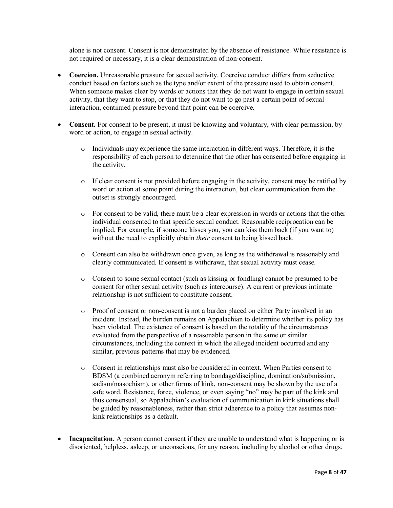alone is not consent. Consent is not demonstrated by the absence of resistance. While resistance is not required or necessary, it is a clear demonstration of non-consent.

- **Coercion.** Unreasonable pressure for sexual activity. Coercive conduct differs from seductive conduct based on factors such as the type and/or extent of the pressure used to obtain consent. When someone makes clear by words or actions that they do not want to engage in certain sexual activity, that they want to stop, or that they do not want to go past a certain point of sexual interaction, continued pressure beyond that point can be coercive.
- **Consent.** For consent to be present, it must be knowing and voluntary, with clear permission, by word or action, to engage in sexual activity.
	- o Individuals may experience the same interaction in different ways. Therefore, it is the responsibility of each person to determine that the other has consented before engaging in the activity.
	- $\circ$  If clear consent is not provided before engaging in the activity, consent may be ratified by word or action at some point during the interaction, but clear communication from the outset is strongly encouraged.
	- o For consent to be valid, there must be a clear expression in words or actions that the other individual consented to that specific sexual conduct. Reasonable reciprocation can be implied. For example, if someone kisses you, you can kiss them back (if you want to) without the need to explicitly obtain *their* consent to being kissed back.
	- o Consent can also be withdrawn once given, as long as the withdrawal is reasonably and clearly communicated. If consent is withdrawn, that sexual activity must cease.
	- o Consent to some sexual contact (such as kissing or fondling) cannot be presumed to be consent for other sexual activity (such as intercourse). A current or previous intimate relationship is not sufficient to constitute consent.
	- o Proof of consent or non-consent is not a burden placed on either Party involved in an incident. Instead, the burden remains on Appalachian to determine whether its policy has been violated. The existence of consent is based on the totality of the circumstances evaluated from the perspective of a reasonable person in the same or similar circumstances, including the context in which the alleged incident occurred and any similar, previous patterns that may be evidenced.
	- o Consent in relationships must also be considered in context. When Parties consent to BDSM (a combined acronym referring to bondage/discipline, domination/submission, sadism/masochism), or other forms of kink, non-consent may be shown by the use of a safe word. Resistance, force, violence, or even saying "no" may be part of the kink and thus consensual, so Appalachian's evaluation of communication in kink situations shall be guided by reasonableness, rather than strict adherence to a policy that assumes nonkink relationships as a default.
- **Incapacitation**. A person cannot consent if they are unable to understand what is happening or is disoriented, helpless, asleep, or unconscious, for any reason, including by alcohol or other drugs.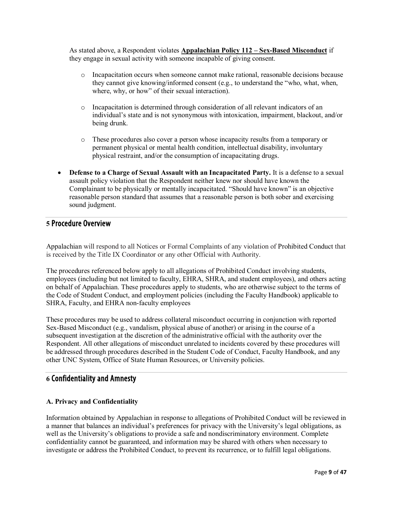As stated above, a Respondent violates **Appalachian Policy 112 – Sex-Based Misconduct** if they engage in sexual activity with someone incapable of giving consent.

- o Incapacitation occurs when someone cannot make rational, reasonable decisions because they cannot give knowing/informed consent (e.g., to understand the "who, what, when, where, why, or how" of their sexual interaction).
- o Incapacitation is determined through consideration of all relevant indicators of an individual's state and is not synonymous with intoxication, impairment, blackout, and/or being drunk.
- o These procedures also cover a person whose incapacity results from a temporary or permanent physical or mental health condition, intellectual disability, involuntary physical restraint, and/or the consumption of incapacitating drugs.
- **Defense to a Charge of Sexual Assault with an Incapacitated Party.** It is a defense to a sexual assault policy violation that the Respondent neither knew nor should have known the Complainant to be physically or mentally incapacitated. "Should have known" is an objective reasonable person standard that assumes that a reasonable person is both sober and exercising sound judgment.

# <span id="page-9-0"></span>**5** Procedure Overview

Appalachian will respond to all Notices or Formal Complaints of any violation of Prohibited Conduct that is received by the Title IX Coordinator or any other Official with Authority.

The procedures referenced below apply to all allegations of Prohibited Conduct involving students, employees (including but not limited to faculty, EHRA, SHRA, and student employees), and others acting on behalf of Appalachian. These procedures apply to students, who are otherwise subject to the terms of the Code of Student Conduct, and employment policies (including the Faculty Handbook) applicable to SHRA, Faculty, and EHRA non-faculty employees

These procedures may be used to address collateral misconduct occurring in conjunction with reported Sex-Based Misconduct (e.g., vandalism, physical abuse of another) or arising in the course of a subsequent investigation at the discretion of the administrative official with the authority over the Respondent. All other allegations of misconduct unrelated to incidents covered by these procedures will be addressed through procedures described in the Student Code of Conduct, Faculty Handbook, and any other UNC System, Office of State Human Resources, or University policies.

# <span id="page-9-1"></span>**6** Confidentiality and Amnesty

#### **A. Privacy and Confidentiality**

Information obtained by Appalachian in response to allegations of Prohibited Conduct will be reviewed in a manner that balances an individual's preferences for privacy with the University's legal obligations, as well as the University's obligations to provide a safe and nondiscriminatory environment. Complete confidentiality cannot be guaranteed, and information may be shared with others when necessary to investigate or address the Prohibited Conduct, to prevent its recurrence, or to fulfill legal obligations.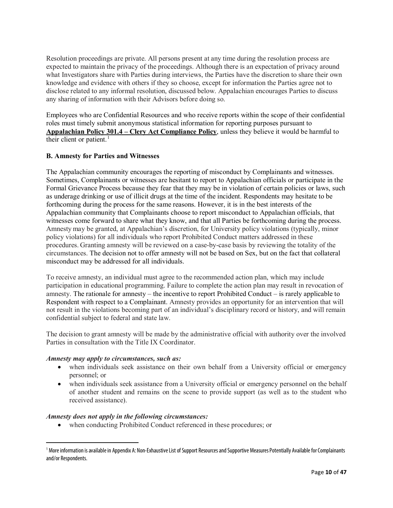Resolution proceedings are private. All persons present at any time during the resolution process are expected to maintain the privacy of the proceedings. Although there is an expectation of privacy around what Investigators share with Parties during interviews, the Parties have the discretion to share their own knowledge and evidence with others if they so choose, except for information the Parties agree not to disclose related to any informal resolution, discussed below. Appalachian encourages Parties to discuss any sharing of information with their Advisors before doing so.

Employees who are Confidential Resources and who receive reports within the scope of their confidential roles must timely submit anonymous statistical information for reporting purposes pursuant to **Appalachian Policy 301.4 – Clery Act Compliance Policy**, unless they believe it would be harmful to their client or patient. $<sup>1</sup>$  $<sup>1</sup>$  $<sup>1</sup>$ </sup>

#### **B. Amnesty for Parties and Witnesses**

The Appalachian community encourages the reporting of misconduct by Complainants and witnesses. Sometimes, Complainants or witnesses are hesitant to report to Appalachian officials or participate in the Formal Grievance Process because they fear that they may be in violation of certain policies or laws, such as underage drinking or use of illicit drugs at the time of the incident. Respondents may hesitate to be forthcoming during the process for the same reasons. However, it is in the best interests of the Appalachian community that Complainants choose to report misconduct to Appalachian officials, that witnesses come forward to share what they know, and that all Parties be forthcoming during the process. Amnesty may be granted, at Appalachian's discretion, for University policy violations (typically, minor policy violations) for all individuals who report Prohibited Conduct matters addressed in these procedures. Granting amnesty will be reviewed on a case-by-case basis by reviewing the totality of the circumstances. The decision not to offer amnesty will not be based on Sex, but on the fact that collateral misconduct may be addressed for all individuals.

To receive amnesty, an individual must agree to the recommended action plan, which may include participation in educational programming. Failure to complete the action plan may result in revocation of amnesty. The rationale for amnesty – the incentive to report Prohibited Conduct – is rarely applicable to Respondent with respect to a Complainant. Amnesty provides an opportunity for an intervention that will not result in the violations becoming part of an individual's disciplinary record or history, and will remain confidential subject to federal and state law.

The decision to grant amnesty will be made by the administrative official with authority over the involved Parties in consultation with the Title IX Coordinator.

#### *Amnesty may apply to circumstances, such as:*

- when individuals seek assistance on their own behalf from a University official or emergency personnel; or
- when individuals seek assistance from a University official or emergency personnel on the behalf of another student and remains on the scene to provide support (as well as to the student who received assistance).

#### *Amnesty does not apply in the following circumstances:*

• when conducting Prohibited Conduct referenced in these procedures; or

<span id="page-10-0"></span><sup>&</sup>lt;sup>1</sup> More information is available in Appendix A: Non-Exhaustive List of Support Resources and Supportive Measures Potentially Available for Complainants and/or Respondents.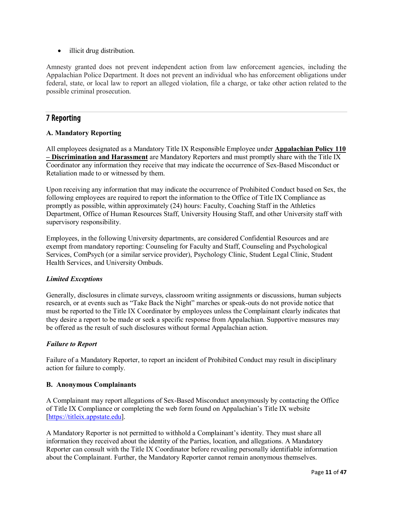• illicit drug distribution.

Amnesty granted does not prevent independent action from law enforcement agencies, including the Appalachian Police Department. It does not prevent an individual who has enforcement obligations under federal, state, or local law to report an alleged violation, file a charge, or take other action related to the possible criminal prosecution.

# <span id="page-11-0"></span>7 Reporting

#### **A. Mandatory Reporting**

All employees designated as a Mandatory Title IX Responsible Employee under **Appalachian Policy 110 – Discrimination and Harassment** are Mandatory Reporters and must promptly share with the Title IX Coordinator any information they receive that may indicate the occurrence of Sex-Based Misconduct or Retaliation made to or witnessed by them.

Upon receiving any information that may indicate the occurrence of Prohibited Conduct based on Sex, the following employees are required to report the information to the Office of Title IX Compliance as promptly as possible, within approximately (24) hours: Faculty, Coaching Staff in the Athletics Department, Office of Human Resources Staff, University Housing Staff, and other University staff with supervisory responsibility.

Employees, in the following University departments, are considered Confidential Resources and are exempt from mandatory reporting: Counseling for Faculty and Staff, Counseling and Psychological Services, ComPsych (or a similar service provider), Psychology Clinic, Student Legal Clinic, Student Health Services, and University Ombuds.

#### *Limited Exceptions*

Generally, disclosures in climate surveys, classroom writing assignments or discussions, human subjects research, or at events such as "Take Back the Night" marches or speak-outs do not provide notice that must be reported to the Title IX Coordinator by employees unless the Complainant clearly indicates that they desire a report to be made or seek a specific response from Appalachian. Supportive measures may be offered as the result of such disclosures without formal Appalachian action.

## *Failure to Report*

Failure of a Mandatory Reporter, to report an incident of Prohibited Conduct may result in disciplinary action for failure to comply.

#### **B. Anonymous Complainants**

A Complainant may report allegations of Sex-Based Misconduct anonymously by contacting the Office of Title IX Compliance or completing the web form found on Appalachian's Title IX website [\[https://titleix.appstate.edu\]](https://titleix.appstate.edu/).

A Mandatory Reporter is not permitted to withhold a Complainant's identity. They must share all information they received about the identity of the Parties, location, and allegations. A Mandatory Reporter can consult with the Title IX Coordinator before revealing personally identifiable information about the Complainant. Further, the Mandatory Reporter cannot remain anonymous themselves.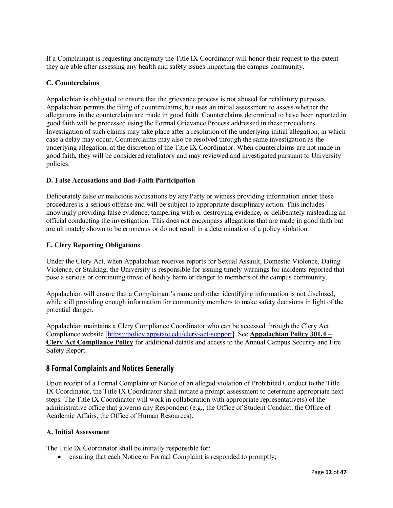If a Complainant is requesting anonymity the Title IX Coordinator will honor their request to the extent they are able after assessing any health and safety issues impacting the campus community.

#### **C. Counterclaims**

Appalachian is obligated to ensure that the grievance process is not abused for retaliatory purposes. Appalachian permits the filing of counterclaims, but uses an initial assessment to assess whether the allegations in the counterclaim are made in good faith. Counterclaims determined to have been reported in good faith will be processed using the Formal Grievance Process addressed in these procedures. Investigation of such claims may take place after a resolution of the underlying initial allegation, in which case a delay may occur. Counterclaims may also be resolved through the same investigation as the underlying allegation, at the discretion of the Title IX Coordinator. When counterclaims are not made in good faith, they will be considered retaliatory and may reviewed and investigated pursuant to University policies.

#### **D. False Accusations and Bad-Faith Participation**

Deliberately false or malicious accusations by any Party or witness providing information under these procedures is a serious offense and will be subject to appropriate disciplinary action. This includes knowingly providing false evidence, tampering with or destroying evidence, or deliberately misleading an official conducting the investigation. This does not encompass allegations that are made in good faith but are ultimately shown to be erroneous or do not result in a determination of a policy violation.

#### **E. Clery Reporting Obligations**

Under the Clery Act, when Appalachian receives reports for Sexual Assault, Domestic Violence, Dating Violence, or Stalking, the University is responsible for issuing timely warnings for incidents reported that pose a serious or continuing threat of bodily harm or danger to members of the campus community.

Appalachian will ensure that a Complainant's name and other identifying information is not disclosed, while still providing enough information for community members to make safety decisions in light of the potential danger.

Appalachian maintains a Clery Compliance Coordinator who can be accessed through the Clery Act Compliance website [\[https://policy.appstate.edu/clery-act-support\]](https://policy.appstate.edu/clery-act-support). See **Appalachian Policy 301.4 – Clery Act Compliance Policy** for additional details and access to the Annual Campus Security and Fire Safety Report.

# <span id="page-12-0"></span>8 Formal Complaints and Notices Generally

Upon receipt of a Formal Complaint or Notice of an alleged violation of Prohibited Conduct to the Title IX Coordinator, the Title IX Coordinator shall initiate a prompt assessment to determine appropriate next steps. The Title IX Coordinator will work in collaboration with appropriate representative(s) of the administrative office that governs any Respondent (e.g., the Office of Student Conduct, the Office of Academic Affairs, the Office of Human Resources).

#### **A. Initial Assessment**

The Title IX Coordinator shall be initially responsible for:

• ensuring that each Notice or Formal Complaint is responded to promptly;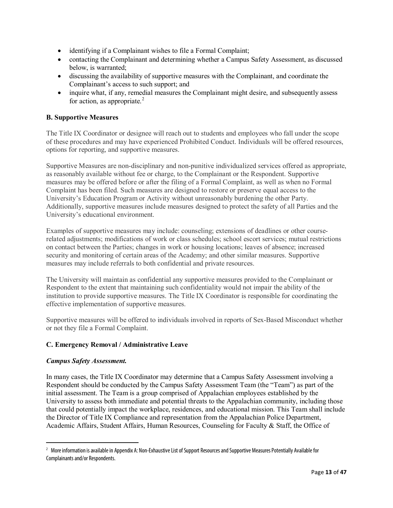- identifying if a Complainant wishes to file a Formal Complaint;
- contacting the Complainant and determining whether a Campus Safety Assessment, as discussed below, is warranted;
- discussing the availability of supportive measures with the Complainant, and coordinate the Complainant's access to such support; and
- inquire what, if any, remedial measures the Complainant might desire, and subsequently assess for action, as appropriate. $^{2}$  $^{2}$  $^{2}$

#### **B. Supportive Measures**

The Title IX Coordinator or designee will reach out to students and employees who fall under the scope of these procedures and may have experienced Prohibited Conduct. Individuals will be offered resources, options for reporting, and supportive measures.

Supportive Measures are non-disciplinary and non-punitive individualized services offered as appropriate, as reasonably available without fee or charge, to the Complainant or the Respondent. Supportive measures may be offered before or after the filing of a Formal Complaint, as well as when no Formal Complaint has been filed. Such measures are designed to restore or preserve equal access to the University's Education Program or Activity without unreasonably burdening the other Party. Additionally, supportive measures include measures designed to protect the safety of all Parties and the University's educational environment.

Examples of supportive measures may include: counseling; extensions of deadlines or other courserelated adjustments; modifications of work or class schedules; school escort services; mutual restrictions on contact between the Parties; changes in work or housing locations; leaves of absence; increased security and monitoring of certain areas of the Academy; and other similar measures. Supportive measures may include referrals to both confidential and private resources.

The University will maintain as confidential any supportive measures provided to the Complainant or Respondent to the extent that maintaining such confidentiality would not impair the ability of the institution to provide supportive measures. The Title IX Coordinator is responsible for coordinating the effective implementation of supportive measures.

Supportive measures will be offered to individuals involved in reports of Sex-Based Misconduct whether or not they file a Formal Complaint.

## **C. Emergency Removal / Administrative Leave**

#### *Campus Safety Assessment.*

In many cases, the Title IX Coordinator may determine that a Campus Safety Assessment involving a Respondent should be conducted by the Campus Safety Assessment Team (the "Team") as part of the initial assessment. The Team is a group comprised of Appalachian employees established by the University to assess both immediate and potential threats to the Appalachian community, including those that could potentially impact the workplace, residences, and educational mission. This Team shall include the Director of Title IX Compliance and representation from the Appalachian Police Department, Academic Affairs, Student Affairs, Human Resources, Counseling for Faculty & Staff, the Office of

<span id="page-13-0"></span><sup>&</sup>lt;sup>2</sup> More information is available in Appendix A: Non-Exhaustive List of Support Resources and Supportive Measures Potentially Available for Complainants and/or Respondents.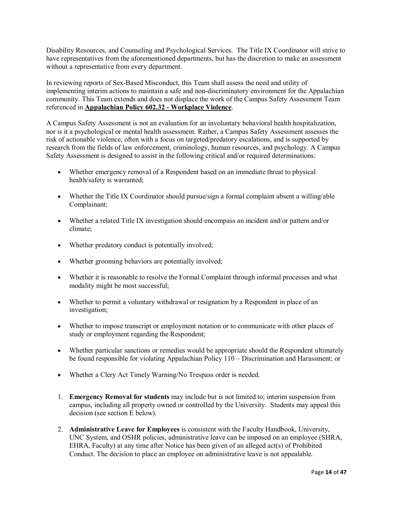Disability Resources, and Counseling and Psychological Services. The Title IX Coordinator will strive to have representatives from the aforementioned departments, but has the discretion to make an assessment without a representative from every department.

In reviewing reports of Sex-Based Misconduct, this Team shall assess the need and utility of implementing interim actions to maintain a safe and non-discriminatory environment for the Appalachian community. This Team extends and does not displace the work of the Campus Safety Assessment Team referenced in **Appalachian Policy 602.32 - Workplace Violence**.

A Campus Safety Assessment is not an evaluation for an involuntary behavioral health hospitalization, nor is it a psychological or mental health assessment. Rather, a Campus Safety Assessment assesses the risk of actionable violence, often with a focus on targeted/predatory escalations, and is supported by research from the fields of law enforcement, criminology, human resources, and psychology. A Campus Safety Assessment is designed to assist in the following critical and/or required determinations:

- Whether emergency removal of a Respondent based on an immediate threat to physical health/safety is warranted;
- Whether the Title IX Coordinator should pursue/sign a formal complaint absent a willing/able Complainant;
- Whether a related Title IX investigation should encompass an incident and/or pattern and/or climate;
- Whether predatory conduct is potentially involved;
- Whether grooming behaviors are potentially involved;
- Whether it is reasonable to resolve the Formal Complaint through informal processes and what modality might be most successful;
- Whether to permit a voluntary withdrawal or resignation by a Respondent in place of an investigation;
- Whether to impose transcript or employment notation or to communicate with other places of study or employment regarding the Respondent;
- Whether particular sanctions or remedies would be appropriate should the Respondent ultimately be found responsible for violating Appalachian Policy 110 – Discrimination and Harassment; or
- Whether a Clery Act Timely Warning/No Trespass order is needed.
- 1. **Emergency Removal for students** may include but is not limited to; interim suspension from campus, including all property owned or controlled by the University. Students may appeal this decision (see section E below).
- 2. **Administrative Leave for Employees** is consistent with the Faculty Handbook, University, UNC System, and OSHR policies, administrative leave can be imposed on an employee (SHRA, EHRA, Faculty) at any time after Notice has been given of an alleged act(s) of Prohibited Conduct. The decision to place an employee on administrative leave is not appealable.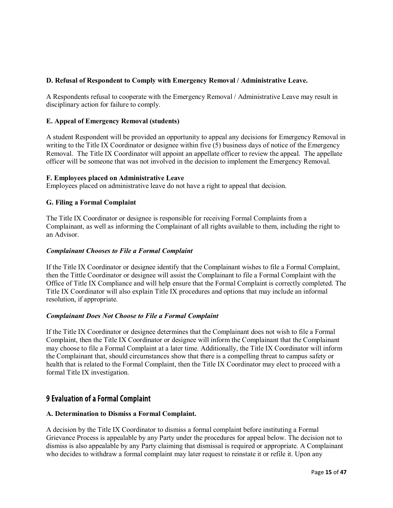#### **D. Refusal of Respondent to Comply with Emergency Removal / Administrative Leave.**

A Respondents refusal to cooperate with the Emergency Removal / Administrative Leave may result in disciplinary action for failure to comply.

#### **E. Appeal of Emergency Removal (students)**

A student Respondent will be provided an opportunity to appeal any decisions for Emergency Removal in writing to the Title IX Coordinator or designee within five  $(5)$  business days of notice of the Emergency Removal. The Title IX Coordinator will appoint an appellate officer to review the appeal. The appellate officer will be someone that was not involved in the decision to implement the Emergency Removal.

#### **F. Employees placed on Administrative Leave**

Employees placed on administrative leave do not have a right to appeal that decision.

#### **G. Filing a Formal Complaint**

The Title IX Coordinator or designee is responsible for receiving Formal Complaints from a Complainant, as well as informing the Complainant of all rights available to them, including the right to an Advisor.

#### *Complainant Chooses to File a Formal Complaint*

If the Title IX Coordinator or designee identify that the Complainant wishes to file a Formal Complaint, then the Tittle Coordinator or designee will assist the Complainant to file a Formal Complaint with the Office of Title IX Compliance and will help ensure that the Formal Complaint is correctly completed. The Title IX Coordinator will also explain Title IX procedures and options that may include an informal resolution, if appropriate.

#### *Complainant Does Not Choose to File a Formal Complaint*

If the Title IX Coordinator or designee determines that the Complainant does not wish to file a Formal Complaint, then the Title IX Coordinator or designee will inform the Complainant that the Complainant may choose to file a Formal Complaint at a later time. Additionally, the Title IX Coordinator will inform the Complainant that, should circumstances show that there is a compelling threat to campus safety or health that is related to the Formal Complaint, then the Title IX Coordinator may elect to proceed with a formal Title IX investigation.

# <span id="page-15-0"></span>9 Evaluation of a Formal Complaint

#### **A. Determination to Dismiss a Formal Complaint.**

A decision by the Title IX Coordinator to dismiss a formal complaint before instituting a Formal Grievance Process is appealable by any Party under the procedures for appeal below. The decision not to dismiss is also appealable by any Party claiming that dismissal is required or appropriate. A Complainant who decides to withdraw a formal complaint may later request to reinstate it or refile it. Upon any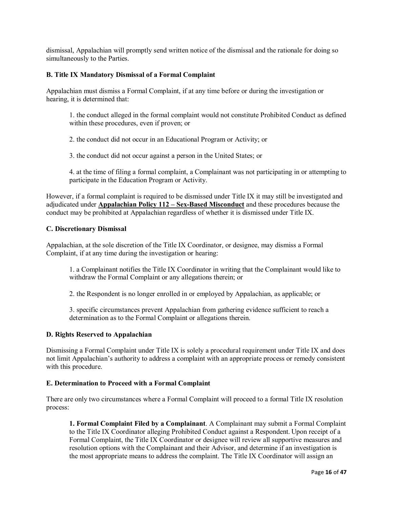dismissal, Appalachian will promptly send written notice of the dismissal and the rationale for doing so simultaneously to the Parties.

#### **B. Title IX Mandatory Dismissal of a Formal Complaint**

Appalachian must dismiss a Formal Complaint, if at any time before or during the investigation or hearing, it is determined that:

1. the conduct alleged in the formal complaint would not constitute Prohibited Conduct as defined within these procedures, even if proven; or

2. the conduct did not occur in an Educational Program or Activity; or

3. the conduct did not occur against a person in the United States; or

4. at the time of filing a formal complaint, a Complainant was not participating in or attempting to participate in the Education Program or Activity.

However, if a formal complaint is required to be dismissed under Title IX it may still be investigated and adjudicated under **Appalachian Policy 112 – Sex-Based Misconduct** and these procedures because the conduct may be prohibited at Appalachian regardless of whether it is dismissed under Title IX.

#### **C. Discretionary Dismissal**

Appalachian, at the sole discretion of the Title IX Coordinator, or designee, may dismiss a Formal Complaint, if at any time during the investigation or hearing:

1. a Complainant notifies the Title IX Coordinator in writing that the Complainant would like to withdraw the Formal Complaint or any allegations therein; or

2. the Respondent is no longer enrolled in or employed by Appalachian, as applicable; or

3. specific circumstances prevent Appalachian from gathering evidence sufficient to reach a determination as to the Formal Complaint or allegations therein.

#### **D. Rights Reserved to Appalachian**

Dismissing a Formal Complaint under Title IX is solely a procedural requirement under Title IX and does not limit Appalachian's authority to address a complaint with an appropriate process or remedy consistent with this procedure.

#### **E. Determination to Proceed with a Formal Complaint**

There are only two circumstances where a Formal Complaint will proceed to a formal Title IX resolution process:

**1. Formal Complaint Filed by a Complainant**. A Complainant may submit a Formal Complaint to the Title IX Coordinator alleging Prohibited Conduct against a Respondent. Upon receipt of a Formal Complaint, the Title IX Coordinator or designee will review all supportive measures and resolution options with the Complainant and their Advisor, and determine if an investigation is the most appropriate means to address the complaint. The Title IX Coordinator will assign an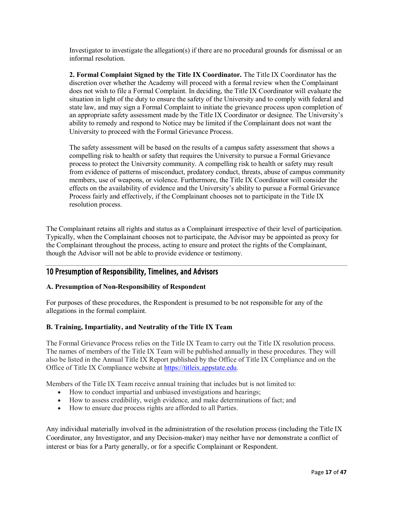Investigator to investigate the allegation(s) if there are no procedural grounds for dismissal or an informal resolution.

**2. Formal Complaint Signed by the Title IX Coordinator.** The Title IX Coordinator has the discretion over whether the Academy will proceed with a formal review when the Complainant does not wish to file a Formal Complaint. In deciding, the Title IX Coordinator will evaluate the situation in light of the duty to ensure the safety of the University and to comply with federal and state law, and may sign a Formal Complaint to initiate the grievance process upon completion of an appropriate safety assessment made by the Title IX Coordinator or designee. The University's ability to remedy and respond to Notice may be limited if the Complainant does not want the University to proceed with the Formal Grievance Process.

The safety assessment will be based on the results of a campus safety assessment that shows a compelling risk to health or safety that requires the University to pursue a Formal Grievance process to protect the University community. A compelling risk to health or safety may result from evidence of patterns of misconduct, predatory conduct, threats, abuse of campus community members, use of weapons, or violence. Furthermore, the Title IX Coordinator will consider the effects on the availability of evidence and the University's ability to pursue a Formal Grievance Process fairly and effectively, if the Complainant chooses not to participate in the Title IX resolution process.

The Complainant retains all rights and status as a Complainant irrespective of their level of participation. Typically, when the Complainant chooses not to participate, the Advisor may be appointed as proxy for the Complainant throughout the process, acting to ensure and protect the rights of the Complainant, though the Advisor will not be able to provide evidence or testimony.

# <span id="page-17-0"></span>10 Presumption of Responsibility, Timelines, and Advisors

#### **A. Presumption of Non-Responsibility of Respondent**

For purposes of these procedures, the Respondent is presumed to be not responsible for any of the allegations in the formal complaint.

#### **B. Training, Impartiality, and Neutrality of the Title IX Team**

The Formal Grievance Process relies on the Title IX Team to carry out the Title IX resolution process. The names of members of the Title IX Team will be published annually in these procedures. They will also be listed in the Annual Title IX Report published by the Office of Title IX Compliance and on the Office of Title IX Compliance website at [https://titleix.appstate.edu.](https://titleix.appstate.edu/)

Members of the Title IX Team receive annual training that includes but is not limited to:

- How to conduct impartial and unbiased investigations and hearings;
- How to assess credibility, weigh evidence, and make determinations of fact; and
- How to ensure due process rights are afforded to all Parties.

Any individual materially involved in the administration of the resolution process (including the Title IX Coordinator, any Investigator, and any Decision-maker) may neither have nor demonstrate a conflict of interest or bias for a Party generally, or for a specific Complainant or Respondent.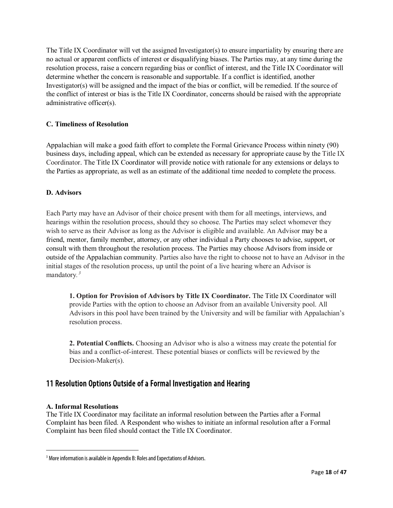The Title IX Coordinator will vet the assigned Investigator(s) to ensure impartiality by ensuring there are no actual or apparent conflicts of interest or disqualifying biases. The Parties may, at any time during the resolution process, raise a concern regarding bias or conflict of interest, and the Title IX Coordinator will determine whether the concern is reasonable and supportable. If a conflict is identified, another Investigator(s) will be assigned and the impact of the bias or conflict, will be remedied. If the source of the conflict of interest or bias is the Title IX Coordinator, concerns should be raised with the appropriate administrative officer(s).

#### **C. Timeliness of Resolution**

Appalachian will make a good faith effort to complete the Formal Grievance Process within ninety (90) business days, including appeal, which can be extended as necessary for appropriate cause by the Title IX Coordinator. The Title IX Coordinator will provide notice with rationale for any extensions or delays to the Parties as appropriate, as well as an estimate of the additional time needed to complete the process.

#### **D. Advisors**

Each Party may have an Advisor of their choice present with them for all meetings, interviews, and hearings within the resolution process, should they so choose. The Parties may select whomever they wish to serve as their Advisor as long as the Advisor is eligible and available. An Advisor may be a friend, mentor, family member, attorney, or any other individual a Party chooses to advise, support, or consult with them throughout the resolution process. The Parties may choose Advisors from inside or outside of the Appalachian community. Parties also have the right to choose not to have an Advisor in the initial stages of the resolution process, up until the point of a live hearing where an Advisor is mandatory*. [3](#page-18-1)*

**1. Option for Provision of Advisors by Title IX Coordinator.** The Title IX Coordinator will provide Parties with the option to choose an Advisor from an available University pool. All Advisors in this pool have been trained by the University and will be familiar with Appalachian's resolution process.

**2. Potential Conflicts.** Choosing an Advisor who is also a witness may create the potential for bias and a conflict-of-interest. These potential biases or conflicts will be reviewed by the Decision-Maker(s).

# <span id="page-18-0"></span>11 Resolution Options Outside of a Formal Investigation and Hearing

#### **A. Informal Resolutions**

The Title IX Coordinator may facilitate an informal resolution between the Parties after a Formal Complaint has been filed. A Respondent who wishes to initiate an informal resolution after a Formal Complaint has been filed should contact the Title IX Coordinator.

<span id="page-18-1"></span><sup>&</sup>lt;sup>3</sup> More information is available in Appendix B: Roles and Expectations of Advisors.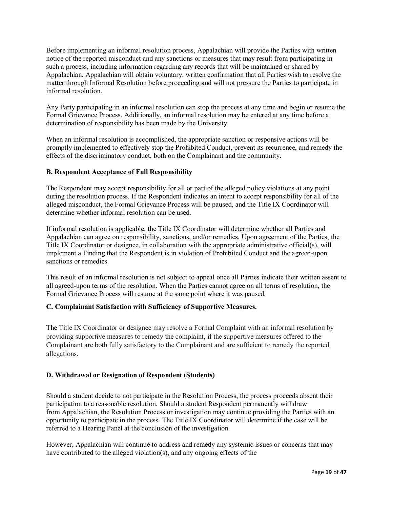Before implementing an informal resolution process, Appalachian will provide the Parties with written notice of the reported misconduct and any sanctions or measures that may result from participating in such a process, including information regarding any records that will be maintained or shared by Appalachian. Appalachian will obtain voluntary, written confirmation that all Parties wish to resolve the matter through Informal Resolution before proceeding and will not pressure the Parties to participate in informal resolution.

Any Party participating in an informal resolution can stop the process at any time and begin or resume the Formal Grievance Process. Additionally, an informal resolution may be entered at any time before a determination of responsibility has been made by the University.

When an informal resolution is accomplished, the appropriate sanction or responsive actions will be promptly implemented to effectively stop the Prohibited Conduct, prevent its recurrence, and remedy the effects of the discriminatory conduct, both on the Complainant and the community.

#### **B. Respondent Acceptance of Full Responsibility**

The Respondent may accept responsibility for all or part of the alleged policy violations at any point during the resolution process. If the Respondent indicates an intent to accept responsibility for all of the alleged misconduct, the Formal Grievance Process will be paused, and the Title IX Coordinator will determine whether informal resolution can be used.

If informal resolution is applicable, the Title IX Coordinator will determine whether all Parties and Appalachian can agree on responsibility, sanctions, and/or remedies. Upon agreement of the Parties, the Title IX Coordinator or designee, in collaboration with the appropriate administrative official(s), will implement a Finding that the Respondent is in violation of Prohibited Conduct and the agreed-upon sanctions or remedies.

This result of an informal resolution is not subject to appeal once all Parties indicate their written assent to all agreed-upon terms of the resolution. When the Parties cannot agree on all terms of resolution, the Formal Grievance Process will resume at the same point where it was paused.

## **C. Complainant Satisfaction with Sufficiency of Supportive Measures.**

The Title IX Coordinator or designee may resolve a Formal Complaint with an informal resolution by providing supportive measures to remedy the complaint, if the supportive measures offered to the Complainant are both fully satisfactory to the Complainant and are sufficient to remedy the reported allegations.

## **D. Withdrawal or Resignation of Respondent (Students)**

Should a student decide to not participate in the Resolution Process, the process proceeds absent their participation to a reasonable resolution. Should a student Respondent permanently withdraw from Appalachian, the Resolution Process or investigation may continue providing the Parties with an opportunity to participate in the process. The Title IX Coordinator will determine if the case will be referred to a Hearing Panel at the conclusion of the investigation.

However, Appalachian will continue to address and remedy any systemic issues or concerns that may have contributed to the alleged violation(s), and any ongoing effects of the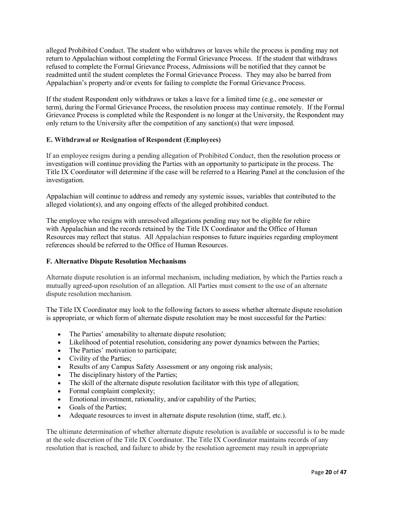alleged Prohibited Conduct. The student who withdraws or leaves while the process is pending may not return to Appalachian without completing the Formal Grievance Process. If the student that withdraws refused to complete the Formal Grievance Process, Admissions will be notified that they cannot be readmitted until the student completes the Formal Grievance Process. They may also be barred from Appalachian's property and/or events for failing to complete the Formal Grievance Process.

If the student Respondent only withdraws or takes a leave for a limited time (e.g., one semester or term), during the Formal Grievance Process, the resolution process may continue remotely. If the Formal Grievance Process is completed while the Respondent is no longer at the University, the Respondent may only return to the University after the competition of any sanction(s) that were imposed.

#### **E. Withdrawal or Resignation of Respondent (Employees)**

If an employee resigns during a pending allegation of Prohibited Conduct, then the resolution process or investigation will continue providing the Parties with an opportunity to participate in the process. The Title IX Coordinator will determine if the case will be referred to a Hearing Panel at the conclusion of the investigation.

Appalachian will continue to address and remedy any systemic issues, variables that contributed to the alleged violation(s), and any ongoing effects of the alleged prohibited conduct. 

The employee who resigns with unresolved allegations pending may not be eligible for rehire with Appalachian and the records retained by the Title IX Coordinator and the Office of Human Resources may reflect that status. All Appalachian responses to future inquiries regarding employment references should be referred to the Office of Human Resources.

#### **F. Alternative Dispute Resolution Mechanisms**

Alternate dispute resolution is an informal mechanism, including mediation, by which the Parties reach a mutually agreed-upon resolution of an allegation. All Parties must consent to the use of an alternate dispute resolution mechanism.

The Title IX Coordinator may look to the following factors to assess whether alternate dispute resolution is appropriate, or which form of alternate dispute resolution may be most successful for the Parties:

- The Parties' amenability to alternate dispute resolution;
- Likelihood of potential resolution, considering any power dynamics between the Parties;
- The Parties' motivation to participate;
- Civility of the Parties;
- Results of any Campus Safety Assessment or any ongoing risk analysis;
- The disciplinary history of the Parties;
- The skill of the alternate dispute resolution facilitator with this type of allegation;
- Formal complaint complexity;
- Emotional investment, rationality, and/or capability of the Parties;
- Goals of the Parties;
- Adequate resources to invest in alternate dispute resolution (time, staff, etc.).

The ultimate determination of whether alternate dispute resolution is available or successful is to be made at the sole discretion of the Title IX Coordinator. The Title IX Coordinator maintains records of any resolution that is reached, and failure to abide by the resolution agreement may result in appropriate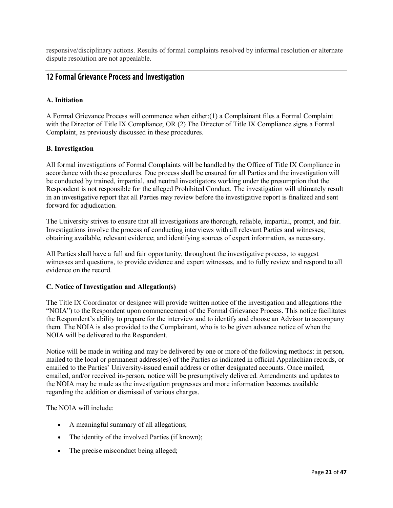responsive/disciplinary actions. Results of formal complaints resolved by informal resolution or alternate dispute resolution are not appealable.

# <span id="page-21-0"></span>12 Formal Grievance Process and Investigation

## **A. Initiation**

A Formal Grievance Process will commence when either:(1) a Complainant files a Formal Complaint with the Director of Title IX Compliance; OR (2) The Director of Title IX Compliance signs a Formal Complaint, as previously discussed in these procedures.

#### **B. Investigation**

All formal investigations of Formal Complaints will be handled by the Office of Title IX Compliance in accordance with these procedures. Due process shall be ensured for all Parties and the investigation will be conducted by trained, impartial, and neutral investigators working under the presumption that the Respondent is not responsible for the alleged Prohibited Conduct. The investigation will ultimately result in an investigative report that all Parties may review before the investigative report is finalized and sent forward for adjudication.

The University strives to ensure that all investigations are thorough, reliable, impartial, prompt, and fair. Investigations involve the process of conducting interviews with all relevant Parties and witnesses; obtaining available, relevant evidence; and identifying sources of expert information, as necessary.

All Parties shall have a full and fair opportunity, throughout the investigative process, to suggest witnesses and questions, to provide evidence and expert witnesses, and to fully review and respond to all evidence on the record.

#### **C. Notice of Investigation and Allegation(s)**

The Title IX Coordinator or designee will provide written notice of the investigation and allegations (the "NOIA") to the Respondent upon commencement of the Formal Grievance Process. This notice facilitates the Respondent's ability to prepare for the interview and to identify and choose an Advisor to accompany them. The NOIA is also provided to the Complainant, who is to be given advance notice of when the NOIA will be delivered to the Respondent.

Notice will be made in writing and may be delivered by one or more of the following methods: in person, mailed to the local or permanent address(es) of the Parties as indicated in official Appalachian records, or emailed to the Parties' University-issued email address or other designated accounts. Once mailed, emailed, and/or received in-person, notice will be presumptively delivered. Amendments and updates to the NOIA may be made as the investigation progresses and more information becomes available regarding the addition or dismissal of various charges.

The NOIA will include:

- A meaningful summary of all allegations;
- The identity of the involved Parties (if known);
- The precise misconduct being alleged;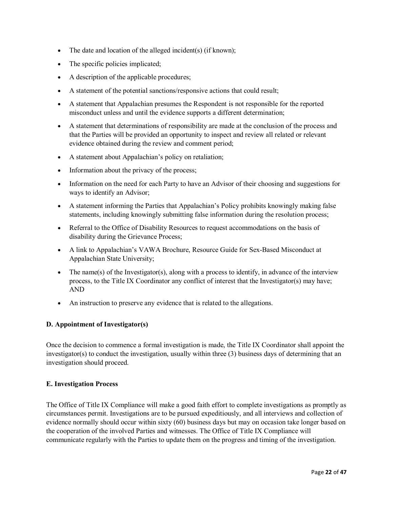- The date and location of the alleged incident(s) (if known);
- The specific policies implicated;
- A description of the applicable procedures;
- A statement of the potential sanctions/responsive actions that could result;
- A statement that Appalachian presumes the Respondent is not responsible for the reported misconduct unless and until the evidence supports a different determination;
- A statement that determinations of responsibility are made at the conclusion of the process and that the Parties will be provided an opportunity to inspect and review all related or relevant evidence obtained during the review and comment period;
- A statement about Appalachian's policy on retaliation;
- Information about the privacy of the process;
- Information on the need for each Party to have an Advisor of their choosing and suggestions for ways to identify an Advisor;
- A statement informing the Parties that Appalachian's Policy prohibits knowingly making false statements, including knowingly submitting false information during the resolution process;
- Referral to the Office of Disability Resources to request accommodations on the basis of disability during the Grievance Process;
- A link to Appalachian's VAWA Brochure, Resource Guide for Sex-Based Misconduct at Appalachian State University;
- The name(s) of the Investigator(s), along with a process to identify, in advance of the interview process, to the Title IX Coordinator any conflict of interest that the Investigator(s) may have; AND
- An instruction to preserve any evidence that is related to the allegations.

#### **D. Appointment of Investigator(s)**

Once the decision to commence a formal investigation is made, the Title IX Coordinator shall appoint the investigator(s) to conduct the investigation, usually within three  $(3)$  business days of determining that an investigation should proceed.

#### **E. Investigation Process**

The Office of Title IX Compliance will make a good faith effort to complete investigations as promptly as circumstances permit. Investigations are to be pursued expeditiously, and all interviews and collection of evidence normally should occur within sixty (60) business days but may on occasion take longer based on the cooperation of the involved Parties and witnesses. The Office of Title IX Compliance will communicate regularly with the Parties to update them on the progress and timing of the investigation.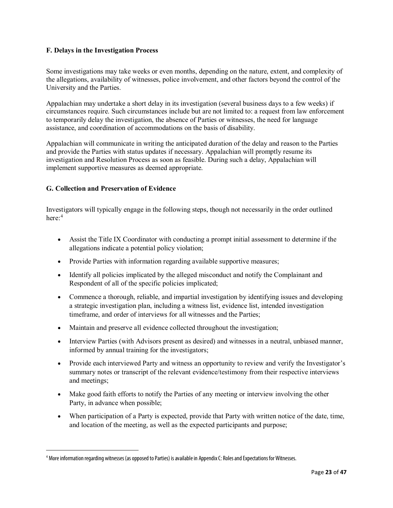#### **F. Delays in the Investigation Process**

Some investigations may take weeks or even months, depending on the nature, extent, and complexity of the allegations, availability of witnesses, police involvement, and other factors beyond the control of the University and the Parties.

Appalachian may undertake a short delay in its investigation (several business days to a few weeks) if circumstances require. Such circumstances include but are not limited to: a request from law enforcement to temporarily delay the investigation, the absence of Parties or witnesses, the need for language assistance, and coordination of accommodations on the basis of disability.

Appalachian will communicate in writing the anticipated duration of the delay and reason to the Parties and provide the Parties with status updates if necessary. Appalachian will promptly resume its investigation and Resolution Process as soon as feasible. During such a delay, Appalachian will implement supportive measures as deemed appropriate.

#### **G. Collection and Preservation of Evidence**

Investigators will typically engage in the following steps, though not necessarily in the order outlined here: $4$ 

- Assist the Title IX Coordinator with conducting a prompt initial assessment to determine if the allegations indicate a potential policy violation;
- Provide Parties with information regarding available supportive measures;
- Identify all policies implicated by the alleged misconduct and notify the Complainant and Respondent of all of the specific policies implicated;
- Commence a thorough, reliable, and impartial investigation by identifying issues and developing a strategic investigation plan, including a witness list, evidence list, intended investigation timeframe, and order of interviews for all witnesses and the Parties;
- Maintain and preserve all evidence collected throughout the investigation;
- Interview Parties (with Advisors present as desired) and witnesses in a neutral, unbiased manner, informed by annual training for the investigators;
- Provide each interviewed Party and witness an opportunity to review and verify the Investigator's summary notes or transcript of the relevant evidence/testimony from their respective interviews and meetings;
- Make good faith efforts to notify the Parties of any meeting or interview involving the other Party, in advance when possible;
- When participation of a Party is expected, provide that Party with written notice of the date, time, and location of the meeting, as well as the expected participants and purpose;

<span id="page-23-0"></span> <sup>4</sup> More information regarding witnesses (as opposed to Parties) is available in Appendix C: Roles and Expectations for Witnesses.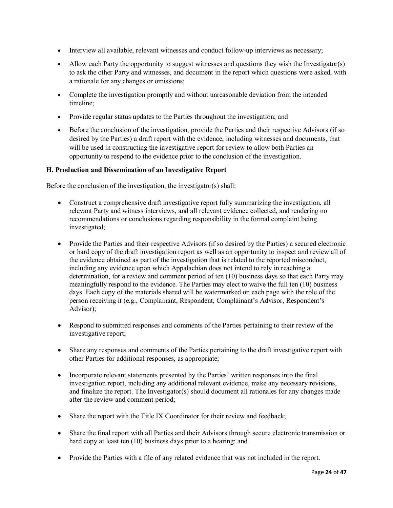- Interview all available, relevant witnesses and conduct follow-up interviews as necessary;
- Allow each Party the opportunity to suggest witnesses and questions they wish the Investigator(s) to ask the other Party and witnesses, and document in the report which questions were asked, with a rationale for any changes or omissions;
- Complete the investigation promptly and without unreasonable deviation from the intended timeline;
- Provide regular status updates to the Parties throughout the investigation; and
- Before the conclusion of the investigation, provide the Parties and their respective Advisors (if so desired by the Parties) a draft report with the evidence, including witnesses and documents, that will be used in constructing the investigative report for review to allow both Parties an opportunity to respond to the evidence prior to the conclusion of the investigation.

#### **H. Production and Dissemination of an Investigative Report**

Before the conclusion of the investigation, the investigator(s) shall:

- Construct a comprehensive draft investigative report fully summarizing the investigation, all relevant Party and witness interviews, and all relevant evidence collected, and rendering no recommendations or conclusions regarding responsibility in the formal complaint being investigated;
- Provide the Parties and their respective Advisors (if so desired by the Parties) a secured electronic or hard copy of the draft investigation report as well as an opportunity to inspect and review all of the evidence obtained as part of the investigation that is related to the reported misconduct, including any evidence upon which Appalachian does not intend to rely in reaching a determination, for a review and comment period of ten (10) business days so that each Party may meaningfully respond to the evidence. The Parties may elect to waive the full ten (10) business days. Each copy of the materials shared will be watermarked on each page with the role of the person receiving it (e.g., Complainant, Respondent, Complainant's Advisor, Respondent's Advisor);
- Respond to submitted responses and comments of the Parties pertaining to their review of the investigative report;
- Share any responses and comments of the Parties pertaining to the draft investigative report with other Parties for additional responses, as appropriate;
- Incorporate relevant statements presented by the Parties' written responses into the final investigation report, including any additional relevant evidence, make any necessary revisions, and finalize the report. The Investigator(s) should document all rationales for any changes made after the review and comment period;
- Share the report with the Title IX Coordinator for their review and feedback;
- Share the final report with all Parties and their Advisors through secure electronic transmission or hard copy at least ten (10) business days prior to a hearing; and
- Provide the Parties with a file of any related evidence that was not included in the report.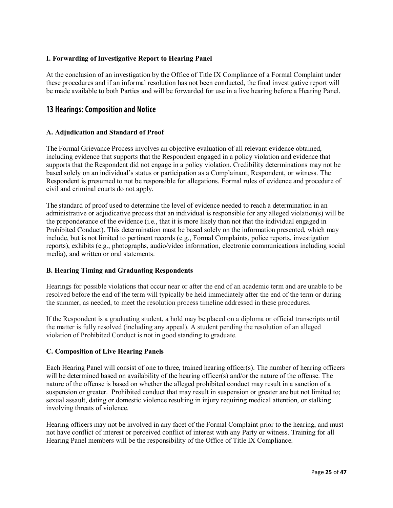## **I. Forwarding of Investigative Report to Hearing Panel**

At the conclusion of an investigation by the Office of Title IX Compliance of a Formal Complaint under these procedures and if an informal resolution has not been conducted, the final investigative report will be made available to both Parties and will be forwarded for use in a live hearing before a Hearing Panel.

# <span id="page-25-0"></span>13 Hearings: Composition and Notice

#### **A. Adjudication and Standard of Proof**

The Formal Grievance Process involves an objective evaluation of all relevant evidence obtained, including evidence that supports that the Respondent engaged in a policy violation and evidence that supports that the Respondent did not engage in a policy violation. Credibility determinations may not be based solely on an individual's status or participation as a Complainant, Respondent, or witness. The Respondent is presumed to not be responsible for allegations. Formal rules of evidence and procedure of civil and criminal courts do not apply.

The standard of proof used to determine the level of evidence needed to reach a determination in an administrative or adjudicative process that an individual is responsible for any alleged violation(s) will be the preponderance of the evidence (i.e., that it is more likely than not that the individual engaged in Prohibited Conduct). This determination must be based solely on the information presented, which may include, but is not limited to pertinent records (e.g., Formal Complaints, police reports, investigation reports), exhibits (e.g., photographs, audio/video information, electronic communications including social media), and written or oral statements.

#### **B. Hearing Timing and Graduating Respondents**

Hearings for possible violations that occur near or after the end of an academic term and are unable to be resolved before the end of the term will typically be held immediately after the end of the term or during the summer, as needed, to meet the resolution process timeline addressed in these procedures.

If the Respondent is a graduating student, a hold may be placed on a diploma or official transcripts until the matter is fully resolved (including any appeal). A student pending the resolution of an alleged violation of Prohibited Conduct is not in good standing to graduate.

#### **C. Composition of Live Hearing Panels**

Each Hearing Panel will consist of one to three, trained hearing officer(s). The number of hearing officers will be determined based on availability of the hearing officer(s) and/or the nature of the offense. The nature of the offense is based on whether the alleged prohibited conduct may result in a sanction of a suspension or greater. Prohibited conduct that may result in suspension or greater are but not limited to; sexual assault, dating or domestic violence resulting in injury requiring medical attention, or stalking involving threats of violence.

Hearing officers may not be involved in any facet of the Formal Complaint prior to the hearing, and must not have conflict of interest or perceived conflict of interest with any Party or witness. Training for all Hearing Panel members will be the responsibility of the Office of Title IX Compliance.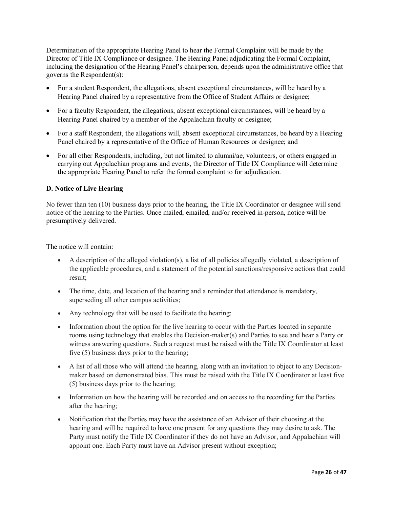Determination of the appropriate Hearing Panel to hear the Formal Complaint will be made by the Director of Title IX Compliance or designee. The Hearing Panel adjudicating the Formal Complaint, including the designation of the Hearing Panel's chairperson, depends upon the administrative office that governs the Respondent(s):

- For a student Respondent, the allegations, absent exceptional circumstances, will be heard by a Hearing Panel chaired by a representative from the Office of Student Affairs or designee;
- For a faculty Respondent, the allegations, absent exceptional circumstances, will be heard by a Hearing Panel chaired by a member of the Appalachian faculty or designee;
- For a staff Respondent, the allegations will, absent exceptional circumstances, be heard by a Hearing Panel chaired by a representative of the Office of Human Resources or designee; and
- For all other Respondents, including, but not limited to alumni/ae, volunteers, or others engaged in carrying out Appalachian programs and events, the Director of Title IX Compliance will determine the appropriate Hearing Panel to refer the formal complaint to for adjudication.

#### **D. Notice of Live Hearing**

No fewer than ten (10) business days prior to the hearing, the Title IX Coordinator or designee will send notice of the hearing to the Parties. Once mailed, emailed, and/or received in-person, notice will be presumptively delivered.

The notice will contain:

- A description of the alleged violation(s), a list of all policies allegedly violated, a description of the applicable procedures, and a statement of the potential sanctions/responsive actions that could result;
- The time, date, and location of the hearing and a reminder that attendance is mandatory, superseding all other campus activities;
- Any technology that will be used to facilitate the hearing;
- Information about the option for the live hearing to occur with the Parties located in separate rooms using technology that enables the Decision-maker(s) and Parties to see and hear a Party or witness answering questions. Such a request must be raised with the Title IX Coordinator at least five (5) business days prior to the hearing;
- A list of all those who will attend the hearing, along with an invitation to object to any Decisionmaker based on demonstrated bias. This must be raised with the Title IX Coordinator at least five (5) business days prior to the hearing;
- Information on how the hearing will be recorded and on access to the recording for the Parties after the hearing;
- Notification that the Parties may have the assistance of an Advisor of their choosing at the hearing and will be required to have one present for any questions they may desire to ask. The Party must notify the Title IX Coordinator if they do not have an Advisor, and Appalachian will appoint one. Each Party must have an Advisor present without exception;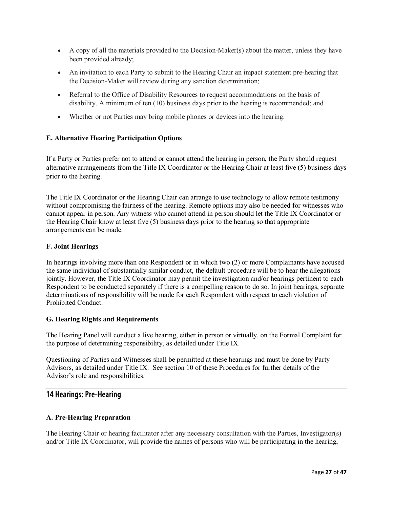- A copy of all the materials provided to the Decision-Maker(s) about the matter, unless they have been provided already;
- An invitation to each Party to submit to the Hearing Chair an impact statement pre-hearing that the Decision-Maker will review during any sanction determination;
- Referral to the Office of Disability Resources to request accommodations on the basis of disability. A minimum of ten (10) business days prior to the hearing is recommended; and
- Whether or not Parties may bring mobile phones or devices into the hearing.

## **E. Alternative Hearing Participation Options**

If a Party or Parties prefer not to attend or cannot attend the hearing in person, the Party should request alternative arrangements from the Title IX Coordinator or the Hearing Chair at least five (5) business days prior to the hearing.

The Title IX Coordinator or the Hearing Chair can arrange to use technology to allow remote testimony without compromising the fairness of the hearing. Remote options may also be needed for witnesses who cannot appear in person. Any witness who cannot attend in person should let the Title IX Coordinator or the Hearing Chair know at least five (5) business days prior to the hearing so that appropriate arrangements can be made.

#### **F. Joint Hearings**

In hearings involving more than one Respondent or in which two (2) or more Complainants have accused the same individual of substantially similar conduct, the default procedure will be to hear the allegations jointly. However, the Title IX Coordinator may permit the investigation and/or hearings pertinent to each Respondent to be conducted separately if there is a compelling reason to do so. In joint hearings, separate determinations of responsibility will be made for each Respondent with respect to each violation of Prohibited Conduct.

#### **G. Hearing Rights and Requirements**

The Hearing Panel will conduct a live hearing, either in person or virtually, on the Formal Complaint for the purpose of determining responsibility, as detailed under Title IX.

Questioning of Parties and Witnesses shall be permitted at these hearings and must be done by Party Advisors, as detailed under Title IX. See section 10 of these Procedures for further details of the Advisor's role and responsibilities.

# <span id="page-27-0"></span>14 Hearings: Pre-Hearing

## **A. Pre-Hearing Preparation**

The Hearing Chair or hearing facilitator after any necessary consultation with the Parties, Investigator(s) and/or Title IX Coordinator, will provide the names of persons who will be participating in the hearing,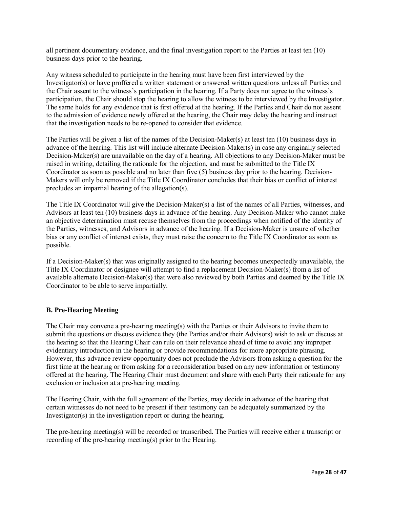all pertinent documentary evidence, and the final investigation report to the Parties at least ten (10) business days prior to the hearing.

Any witness scheduled to participate in the hearing must have been first interviewed by the Investigator(s) or have proffered a written statement or answered written questions unless all Parties and the Chair assent to the witness's participation in the hearing. If a Party does not agree to the witness's participation, the Chair should stop the hearing to allow the witness to be interviewed by the Investigator. The same holds for any evidence that is first offered at the hearing. If the Parties and Chair do not assent to the admission of evidence newly offered at the hearing, the Chair may delay the hearing and instruct that the investigation needs to be re-opened to consider that evidence.

The Parties will be given a list of the names of the Decision-Maker(s) at least ten (10) business days in advance of the hearing. This list will include alternate Decision-Maker(s) in case any originally selected Decision-Maker(s) are unavailable on the day of a hearing. All objections to any Decision-Maker must be raised in writing, detailing the rationale for the objection, and must be submitted to the Title IX Coordinator as soon as possible and no later than five (5) business day prior to the hearing. Decision-Makers will only be removed if the Title IX Coordinator concludes that their bias or conflict of interest precludes an impartial hearing of the allegation(s).

The Title IX Coordinator will give the Decision-Maker(s) a list of the names of all Parties, witnesses, and Advisors at least ten (10) business days in advance of the hearing. Any Decision-Maker who cannot make an objective determination must recuse themselves from the proceedings when notified of the identity of the Parties, witnesses, and Advisors in advance of the hearing. If a Decision-Maker is unsure of whether bias or any conflict of interest exists, they must raise the concern to the Title IX Coordinator as soon as possible.

If a Decision-Maker(s) that was originally assigned to the hearing becomes unexpectedly unavailable, the Title IX Coordinator or designee will attempt to find a replacement Decision-Maker(s) from a list of available alternate Decision-Maker(s) that were also reviewed by both Parties and deemed by the Title IX Coordinator to be able to serve impartially.

#### **B. Pre-Hearing Meeting**

The Chair may convene a pre-hearing meeting(s) with the Parties or their Advisors to invite them to submit the questions or discuss evidence they (the Parties and/or their Advisors) wish to ask or discuss at the hearing so that the Hearing Chair can rule on their relevance ahead of time to avoid any improper evidentiary introduction in the hearing or provide recommendations for more appropriate phrasing. However, this advance review opportunity does not preclude the Advisors from asking a question for the first time at the hearing or from asking for a reconsideration based on any new information or testimony offered at the hearing. The Hearing Chair must document and share with each Party their rationale for any exclusion or inclusion at a pre-hearing meeting.

The Hearing Chair, with the full agreement of the Parties, may decide in advance of the hearing that certain witnesses do not need to be present if their testimony can be adequately summarized by the Investigator(s) in the investigation report or during the hearing.

The pre-hearing meeting(s) will be recorded or transcribed. The Parties will receive either a transcript or recording of the pre-hearing meeting(s) prior to the Hearing.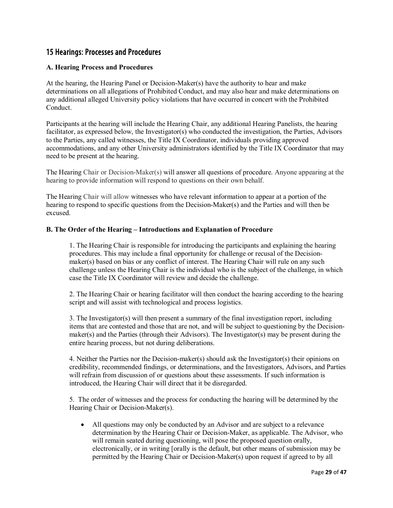# <span id="page-29-0"></span>15 Hearings: Processes and Procedures

## **A. Hearing Process and Procedures**

At the hearing, the Hearing Panel or Decision-Maker(s) have the authority to hear and make determinations on all allegations of Prohibited Conduct, and may also hear and make determinations on any additional alleged University policy violations that have occurred in concert with the Prohibited Conduct.

Participants at the hearing will include the Hearing Chair, any additional Hearing Panelists, the hearing facilitator, as expressed below, the Investigator(s) who conducted the investigation, the Parties, Advisors to the Parties, any called witnesses, the Title IX Coordinator, individuals providing approved accommodations, and any other University administrators identified by the Title IX Coordinator that may need to be present at the hearing.

The Hearing Chair or Decision-Maker(s) will answer all questions of procedure. Anyone appearing at the hearing to provide information will respond to questions on their own behalf.

The Hearing Chair will allow witnesses who have relevant information to appear at a portion of the hearing to respond to specific questions from the Decision-Maker(s) and the Parties and will then be excused.

#### **B. The Order of the Hearing – Introductions and Explanation of Procedure**

1. The Hearing Chair is responsible for introducing the participants and explaining the hearing procedures. This may include a final opportunity for challenge or recusal of the Decisionmaker(s) based on bias or any conflict of interest. The Hearing Chair will rule on any such challenge unless the Hearing Chair is the individual who is the subject of the challenge, in which case the Title IX Coordinator will review and decide the challenge.

2. The Hearing Chair or hearing facilitator will then conduct the hearing according to the hearing script and will assist with technological and process logistics.

3. The Investigator(s) will then present a summary of the final investigation report, including items that are contested and those that are not, and will be subject to questioning by the Decisionmaker(s) and the Parties (through their Advisors). The Investigator(s) may be present during the entire hearing process, but not during deliberations.

4. Neither the Parties nor the Decision-maker(s) should ask the Investigator(s) their opinions on credibility, recommended findings, or determinations, and the Investigators, Advisors, and Parties will refrain from discussion of or questions about these assessments. If such information is introduced, the Hearing Chair will direct that it be disregarded.

5. The order of witnesses and the process for conducting the hearing will be determined by the Hearing Chair or Decision-Maker(s).

• All questions may only be conducted by an Advisor and are subject to a relevance determination by the Hearing Chair or Decision-Maker, as applicable. The Advisor, who will remain seated during questioning, will pose the proposed question orally, electronically, or in writing [orally is the default, but other means of submission may be permitted by the Hearing Chair or Decision-Maker(s) upon request if agreed to by all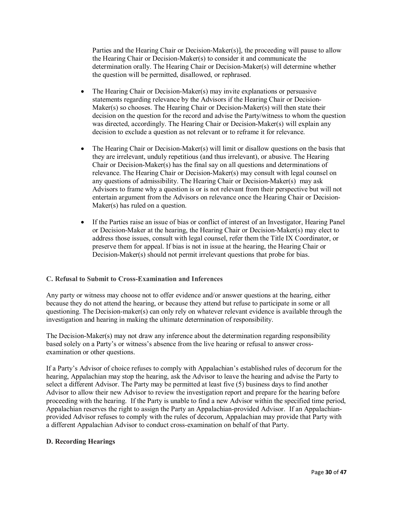Parties and the Hearing Chair or Decision-Maker(s)], the proceeding will pause to allow the Hearing Chair or Decision-Maker(s) to consider it and communicate the determination orally. The Hearing Chair or Decision-Maker(s) will determine whether the question will be permitted, disallowed, or rephrased.

- The Hearing Chair or Decision-Maker(s) may invite explanations or persuasive statements regarding relevance by the Advisors if the Hearing Chair or Decision-Maker(s) so chooses. The Hearing Chair or Decision-Maker(s) will then state their decision on the question for the record and advise the Party/witness to whom the question was directed, accordingly. The Hearing Chair or Decision-Maker(s) will explain any decision to exclude a question as not relevant or to reframe it for relevance.
- The Hearing Chair or Decision-Maker(s) will limit or disallow questions on the basis that they are irrelevant, unduly repetitious (and thus irrelevant), or abusive. The Hearing Chair or Decision-Maker(s) has the final say on all questions and determinations of relevance. The Hearing Chair or Decision-Maker(s) may consult with legal counsel on any questions of admissibility. The Hearing Chair or Decision-Maker(s) may ask Advisors to frame why a question is or is not relevant from their perspective but will not entertain argument from the Advisors on relevance once the Hearing Chair or Decision-Maker(s) has ruled on a question.
- If the Parties raise an issue of bias or conflict of interest of an Investigator, Hearing Panel or Decision-Maker at the hearing, the Hearing Chair or Decision-Maker(s) may elect to address those issues, consult with legal counsel, refer them the Title IX Coordinator, or preserve them for appeal. If bias is not in issue at the hearing, the Hearing Chair or Decision-Maker(s) should not permit irrelevant questions that probe for bias.

#### **C. Refusal to Submit to Cross-Examination and Inferences**

Any party or witness may choose not to offer evidence and/or answer questions at the hearing, either because they do not attend the hearing, or because they attend but refuse to participate in some or all questioning. The Decision-maker(s) can only rely on whatever relevant evidence is available through the investigation and hearing in making the ultimate determination of responsibility.

The Decision-Maker(s) may not draw any inference about the determination regarding responsibility based solely on a Party's or witness's absence from the live hearing or refusal to answer crossexamination or other questions.

If a Party's Advisor of choice refuses to comply with Appalachian's established rules of decorum for the hearing, Appalachian may stop the hearing, ask the Advisor to leave the hearing and advise the Party to select a different Advisor. The Party may be permitted at least five (5) business days to find another Advisor to allow their new Advisor to review the investigation report and prepare for the hearing before proceeding with the hearing. If the Party is unable to find a new Advisor within the specified time period, Appalachian reserves the right to assign the Party an Appalachian-provided Advisor. If an Appalachianprovided Advisor refuses to comply with the rules of decorum, Appalachian may provide that Party with a different Appalachian Advisor to conduct cross-examination on behalf of that Party.

#### **D. Recording Hearings**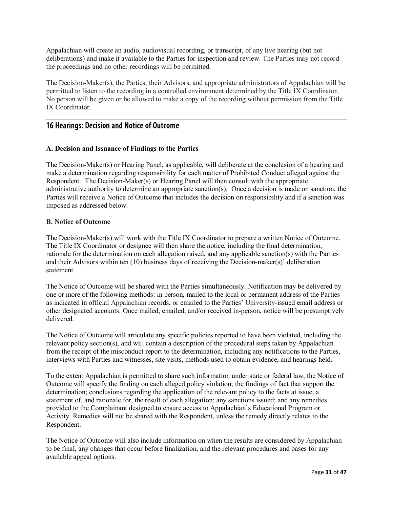Appalachian will create an audio, audiovisual recording, or transcript, of any live hearing (but not deliberations) and make it available to the Parties for inspection and review. The Parties may not record the proceedings and no other recordings will be permitted.

The Decision-Maker(s), the Parties, their Advisors, and appropriate administrators of Appalachian will be permitted to listen to the recording in a controlled environment determined by the Title IX Coordinator. No person will be given or be allowed to make a copy of the recording without permission from the Title IX Coordinator.

# <span id="page-31-0"></span>16 Hearings: Decision and Notice of Outcome

#### **A. Decision and Issuance of Findings to the Parties**

The Decision-Maker(s) or Hearing Panel, as applicable, will deliberate at the conclusion of a hearing and make a determination regarding responsibility for each matter of Prohibited Conduct alleged against the Respondent. The Decision-Maker(s) or Hearing Panel will then consult with the appropriate administrative authority to determine an appropriate sanction(s). Once a decision is made on sanction, the Parties will receive a Notice of Outcome that includes the decision on responsibility and if a sanction was imposed as addressed below.

#### **B. Notice of Outcome**

The Decision-Maker(s) will work with the Title IX Coordinator to prepare a written Notice of Outcome. The Title IX Coordinator or designee will then share the notice, including the final determination, rationale for the determination on each allegation raised, and any applicable sanction(s) with the Parties and their Advisors within ten (10) business days of receiving the Decision-maker(s)' deliberation statement.

The Notice of Outcome will be shared with the Parties simultaneously. Notification may be delivered by one or more of the following methods: in person, mailed to the local or permanent address of the Parties as indicated in official Appalachian records, or emailed to the Parties' University-issued email address or other designated accounts. Once mailed, emailed, and/or received in-person, notice will be presumptively delivered.

The Notice of Outcome will articulate any specific policies reported to have been violated, including the relevant policy section(s), and will contain a description of the procedural steps taken by Appalachian from the receipt of the misconduct report to the determination, including any notifications to the Parties, interviews with Parties and witnesses, site visits, methods used to obtain evidence, and hearings held.

To the extent Appalachian is permitted to share such information under state or federal law, the Notice of Outcome will specify the finding on each alleged policy violation; the findings of fact that support the determination; conclusions regarding the application of the relevant policy to the facts at issue; a statement of, and rationale for, the result of each allegation; any sanctions issued; and any remedies provided to the Complainant designed to ensure access to Appalachian's Educational Program or Activity. Remedies will not be shared with the Respondent, unless the remedy directly relates to the Respondent.

The Notice of Outcome will also include information on when the results are considered by Appalachian to be final, any changes that occur before finalization, and the relevant procedures and bases for any available appeal options.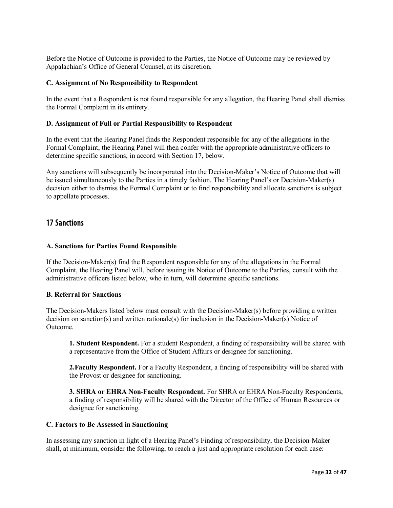Before the Notice of Outcome is provided to the Parties, the Notice of Outcome may be reviewed by Appalachian's Office of General Counsel, at its discretion.

#### **C. Assignment of No Responsibility to Respondent**

In the event that a Respondent is not found responsible for any allegation, the Hearing Panel shall dismiss the Formal Complaint in its entirety.

#### **D. Assignment of Full or Partial Responsibility to Respondent**

In the event that the Hearing Panel finds the Respondent responsible for any of the allegations in the Formal Complaint, the Hearing Panel will then confer with the appropriate administrative officers to determine specific sanctions, in accord with Section 17, below.

Any sanctions will subsequently be incorporated into the Decision-Maker's Notice of Outcome that will be issued simultaneously to the Parties in a timely fashion. The Hearing Panel's or Decision-Maker(s) decision either to dismiss the Formal Complaint or to find responsibility and allocate sanctions is subject to appellate processes.

## <span id="page-32-0"></span>17 Sanctions

#### **A. Sanctions for Parties Found Responsible**

If the Decision-Maker(s) find the Respondent responsible for any of the allegations in the Formal Complaint, the Hearing Panel will, before issuing its Notice of Outcome to the Parties, consult with the administrative officers listed below, who in turn, will determine specific sanctions.

#### **B. Referral for Sanctions**

The Decision-Makers listed below must consult with the Decision-Maker(s) before providing a written decision on sanction(s) and written rationale(s) for inclusion in the Decision-Maker(s) Notice of Outcome.

**1. Student Respondent.** For a student Respondent, a finding of responsibility will be shared with a representative from the Office of Student Affairs or designee for sanctioning.

**2.Faculty Respondent.** For a Faculty Respondent, a finding of responsibility will be shared with the Provost or designee for sanctioning.

**3. SHRA or EHRA Non-Faculty Respondent.** For SHRA or EHRA Non-Faculty Respondents, a finding of responsibility will be shared with the Director of the Office of Human Resources or designee for sanctioning.

#### **C. Factors to Be Assessed in Sanctioning**

In assessing any sanction in light of a Hearing Panel's Finding of responsibility, the Decision-Maker shall, at minimum, consider the following, to reach a just and appropriate resolution for each case: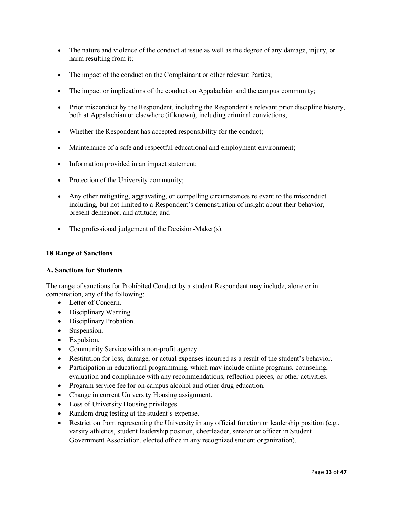- The nature and violence of the conduct at issue as well as the degree of any damage, injury, or harm resulting from it;
- The impact of the conduct on the Complainant or other relevant Parties;
- The impact or implications of the conduct on Appalachian and the campus community;
- Prior misconduct by the Respondent, including the Respondent's relevant prior discipline history, both at Appalachian or elsewhere (if known), including criminal convictions;
- Whether the Respondent has accepted responsibility for the conduct;
- Maintenance of a safe and respectful educational and employment environment;
- Information provided in an impact statement;
- Protection of the University community;
- Any other mitigating, aggravating, or compelling circumstances relevant to the misconduct including, but not limited to a Respondent's demonstration of insight about their behavior, present demeanor, and attitude; and
- The professional judgement of the Decision-Maker(s).

#### **18 Range of Sanctions**

#### **A. Sanctions for Students**

The range of sanctions for Prohibited Conduct by a student Respondent may include, alone or in combination, any of the following:

- Letter of Concern.
- Disciplinary Warning.
- Disciplinary Probation.
- Suspension.
- Expulsion.
- Community Service with a non-profit agency.
- Restitution for loss, damage, or actual expenses incurred as a result of the student's behavior.
- Participation in educational programming, which may include online programs, counseling, evaluation and compliance with any recommendations, reflection pieces, or other activities.
- Program service fee for on-campus alcohol and other drug education.
- Change in current University Housing assignment.
- Loss of University Housing privileges.
- Random drug testing at the student's expense.
- Restriction from representing the University in any official function or leadership position (e.g., varsity athletics, student leadership position, cheerleader, senator or officer in Student Government Association, elected office in any recognized student organization).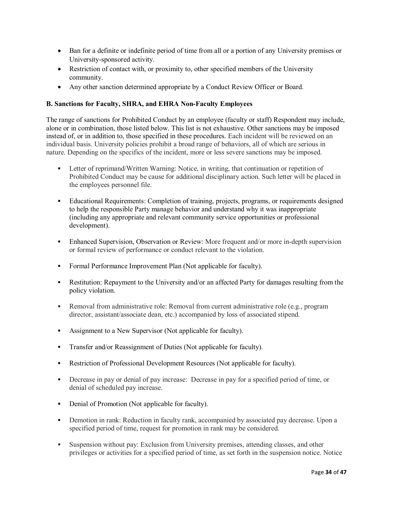- Ban for a definite or indefinite period of time from all or a portion of any University premises or University-sponsored activity.
- Restriction of contact with, or proximity to, other specified members of the University community.
- Any other sanction determined appropriate by a Conduct Review Officer or Board.

## **B. Sanctions for Faculty, SHRA, and EHRA Non-Faculty Employees**

The range of sanctions for Prohibited Conduct by an employee (faculty or staff) Respondent may include, alone or in combination, those listed below. This list is not exhaustive. Other sanctions may be imposed instead of, or in addition to, those specified in these procedures. Each incident will be reviewed on an individual basis. University policies prohibit a broad range of behaviors, all of which are serious in nature. Depending on the specifics of the incident, more or less severe sanctions may be imposed.

- Letter of reprimand/Written Warning: Notice, in writing, that continuation or repetition of Prohibited Conduct may be cause for additional disciplinary action. Such letter will be placed in the employees personnel file.
- Educational Requirements: Completion of training, projects, programs, or requirements designed to help the responsible Party manage behavior and understand why it was inappropriate (including any appropriate and relevant community service opportunities or professional development).
- Enhanced Supervision, Observation or Review: More frequent and/or more in-depth supervision or formal review of performance or conduct relevant to the violation.
- Formal Performance Improvement Plan (Not applicable for faculty).
- Restitution: Repayment to the University and/or an affected Party for damages resulting from the policy violation.
- Removal from administrative role: Removal from current administrative role (e.g., program director, assistant/associate dean, etc.) accompanied by loss of associated stipend.
- Assignment to a New Supervisor (Not applicable for faculty).
- **Transfer and/or Reassignment of Duties (Not applicable for faculty).**
- Restriction of Professional Development Resources (Not applicable for faculty).
- Decrease in pay or denial of pay increase: Decrease in pay for a specified period of time, or denial of scheduled pay increase.
- Denial of Promotion (Not applicable for faculty).
- **•** Demotion in rank: Reduction in faculty rank, accompanied by associated pay decrease. Upon a specified period of time, request for promotion in rank may be considered.
- Suspension without pay: Exclusion from University premises, attending classes, and other privileges or activities for a specified period of time, as set forth in the suspension notice. Notice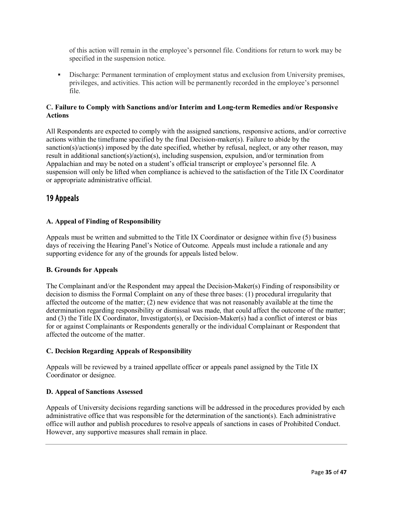of this action will remain in the employee's personnel file. Conditions for return to work may be specified in the suspension notice.

 Discharge: Permanent termination of employment status and exclusion from University premises, privileges, and activities. This action will be permanently recorded in the employee's personnel file.

#### **C. Failure to Comply with Sanctions and/or Interim and Long-term Remedies and/or Responsive Actions**

All Respondents are expected to comply with the assigned sanctions, responsive actions, and/or corrective actions within the timeframe specified by the final Decision-maker(s). Failure to abide by the sanction(s)/action(s) imposed by the date specified, whether by refusal, neglect, or any other reason, may result in additional sanction(s)/action(s), including suspension, expulsion, and/or termination from Appalachian and may be noted on a student's official transcript or employee's personnel file. A suspension will only be lifted when compliance is achieved to the satisfaction of the Title IX Coordinator or appropriate administrative official.

# <span id="page-35-0"></span>19 Appeals

#### **A. Appeal of Finding of Responsibility**

Appeals must be written and submitted to the Title IX Coordinator or designee within five (5) business days of receiving the Hearing Panel's Notice of Outcome. Appeals must include a rationale and any supporting evidence for any of the grounds for appeals listed below.

#### **B. Grounds for Appeals**

The Complainant and/or the Respondent may appeal the Decision-Maker(s) Finding of responsibility or decision to dismiss the Formal Complaint on any of these three bases: (1) procedural irregularity that affected the outcome of the matter; (2) new evidence that was not reasonably available at the time the determination regarding responsibility or dismissal was made, that could affect the outcome of the matter; and (3) the Title IX Coordinator, Investigator(s), or Decision-Maker(s) had a conflict of interest or bias for or against Complainants or Respondents generally or the individual Complainant or Respondent that affected the outcome of the matter.

#### **C. Decision Regarding Appeals of Responsibility**

Appeals will be reviewed by a trained appellate officer or appeals panel assigned by the Title IX Coordinator or designee.

#### **D. Appeal of Sanctions Assessed**

Appeals of University decisions regarding sanctions will be addressed in the procedures provided by each administrative office that was responsible for the determination of the sanction(s). Each administrative office will author and publish procedures to resolve appeals of sanctions in cases of Prohibited Conduct. However, any supportive measures shall remain in place.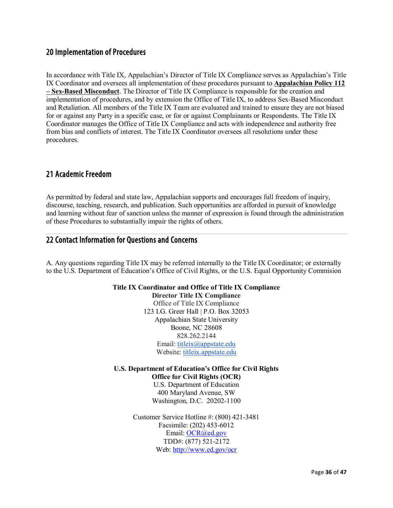# <span id="page-36-0"></span>20 Implementation of Procedures

In accordance with Title IX, Appalachian's Director of Title IX Compliance serves as Appalachian's Title IX Coordinator and oversees all implementation of these procedures pursuant to **Appalachian Policy 112 – Sex-Based Misconduct**. The Director of Title IX Compliance is responsible for the creation and implementation of procedures, and by extension the Office of Title IX, to address Sex-Based Misconduct and Retaliation. All members of the Title IX Team are evaluated and trained to ensure they are not biased for or against any Party in a specific case, or for or against Complainants or Respondents. The Title IX Coordinator manages the Office of Title IX Compliance and acts with independence and authority free from bias and conflicts of interest. The Title IX Coordinator oversees all resolutions under these procedures.

# <span id="page-36-1"></span>21 Academic Freedom

As permitted by federal and state law, Appalachian supports and encourages full freedom of inquiry, discourse, teaching, research, and publication. Such opportunities are afforded in pursuit of knowledge and learning without fear of sanction unless the manner of expression is found through the administration of these Procedures to substantially impair the rights of others.

## <span id="page-36-2"></span>22 Contact Information for Questions and Concerns

A. Any questions regarding Title IX may be referred internally to the Title IX Coordinator; or externally to the U.S. Department of Education's Office of Civil Rights, or the U.S. Equal Opportunity Commision

#### **Title IX Coordinator and Office of Title IX Compliance**

**Director Title IX Compliance** Office of Title IX Compliance 123 I.G. Greer Hall | P.O. Box 32053 Appalachian State University Boone, NC 28608 828.262.2144 Email: [titleix@appstate.edu](mailto:titleix@appstate.edu) Website: [titleix.appstate.edu](https://titleix.appstate.edu/)

#### **U.S. Department of Education's Office for Civil Rights Office for Civil Rights (OCR)**

U.S. Department of Education 400 Maryland Avenue, SW Washington, D.C. 20202-1100

Customer Service Hotline #: (800) 421-3481 Facsimile: (202) 453-6012 Email: [OCR@ed.gov](mailto:OCR@ed.gov) TDD#: (877) 521-2172 Web:<http://www.ed.gov/ocr>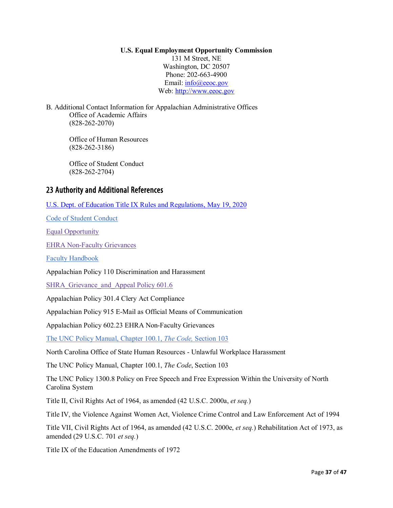#### **U.S. Equal Employment Opportunity Commission**

131 M Street, NE Washington, DC 20507 Phone: 202-663-4900 Email: info@eeoc.gov Web: [http://www.eeoc.gov](http://www.eeoc.gov/)

B. Additional Contact Information for Appalachian Administrative Offices Office of Academic Affairs (828-262-2070)

> Office of Human Resources (828-262-3186)

Office of Student Conduct (828-262-2704)

# <span id="page-37-0"></span>23 Authority and Additional References

[U.S. Dept. of Education Title IX Rules and Regulations, May 19, 2020](https://www.govinfo.gov/content/pkg/FR-2020-05-19/pdf/FR-2020-05-19.pdf)

[Code of Student Conduct](https://studentconduct.appstate.edu/)

[Equal Opportunity](https://policy.appstate.edu/Equal_Opportunity)

[EHRA Non-Faculty Grievances](https://policy.appstate.edu/EHRA_Non-Faculty_Grievances)

[Faculty Handbook](https://facultyhandbook.appstate.edu/)

Appalachian Policy 110 Discrimination and Harassment

SHRA Grievance and Appeal Policy 601.6

Appalachian Policy 301.4 Clery Act Compliance

Appalachian Policy 915 E-Mail as Official Means of Communication

Appalachian Policy 602.23 EHRA Non-Faculty Grievances

[The UNC Policy Manual, Chapter 100.1,](https://www.northcarolina.edu/apps/policy/index.php?pg=dl&id=10866&format=pdf&inline=1) *The Code,* Section 103

North Carolina Office of State Human Resources - Unlawful Workplace Harassment

The UNC Policy Manual, Chapter 100.1, *The Code*, Section 103

The UNC Policy 1300.8 Policy on Free Speech and Free Expression Within the University of North Carolina System

Title II, Civil Rights Act of 1964, as amended (42 U.S.C. 2000a, *et seq.*)

Title IV, the Violence Against Women Act, Violence Crime Control and Law Enforcement Act of 1994

Title VII, Civil Rights Act of 1964, as amended (42 U.S.C. 2000e, *et seq.*) Rehabilitation Act of 1973, as amended (29 U.S.C. 701 *et seq.*)

Title IX of the Education Amendments of 1972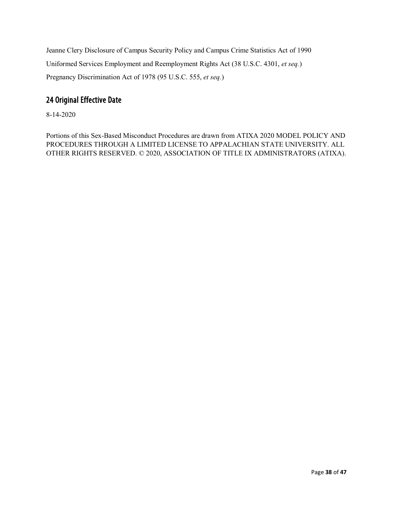Jeanne Clery Disclosure of Campus Security Policy and Campus Crime Statistics Act of 1990 Uniformed Services Employment and Reemployment Rights Act (38 U.S.C. 4301, *et seq.*) Pregnancy Discrimination Act of 1978 (95 U.S.C. 555, *et seq.*)

# <span id="page-38-0"></span>24 Original Effective Date

8-14-2020

Portions of this Sex-Based Misconduct Procedures are drawn from ATIXA 2020 MODEL POLICY AND PROCEDURES THROUGH A LIMITED LICENSE TO APPALACHIAN STATE UNIVERSITY. ALL OTHER RIGHTS RESERVED. © 2020, ASSOCIATION OF TITLE IX ADMINISTRATORS (ATIXA).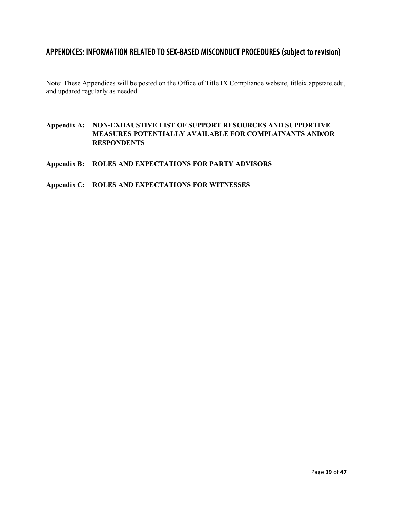# <span id="page-39-0"></span>APPENDICES: INFORMATION RELATED TO SEX-BASED MISCONDUCT PROCEDURES (subject to revision)

Note: These Appendices will be posted on the Office of Title IX Compliance website, titleix.appstate.edu, and updated regularly as needed.

## **Appendix A: NON-EXHAUSTIVE LIST OF SUPPORT RESOURCES AND SUPPORTIVE MEASURES POTENTIALLY AVAILABLE FOR COMPLAINANTS AND/OR RESPONDENTS**

**Appendix B: ROLES AND EXPECTATIONS FOR PARTY ADVISORS**

## **Appendix C: ROLES AND EXPECTATIONS FOR WITNESSES**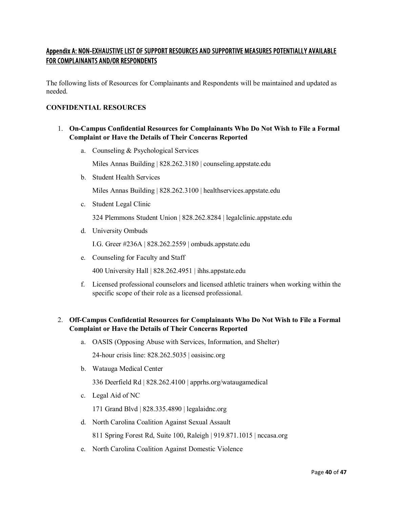# <span id="page-40-0"></span>Appendix A: NON-EXHAUSTIVE LIST OF SUPPORT RESOURCES AND SUPPORTIVE MEASURES POTENTIALLY AVAILABLE FOR COMPLAINANTS AND/OR RESPONDENTS

The following lists of Resources for Complainants and Respondents will be maintained and updated as needed.

## **CONFIDENTIAL RESOURCES**

- 1. **On-Campus Confidential Resources for Complainants Who Do Not Wish to File a Formal Complaint or Have the Details of Their Concerns Reported**
	- a. Counseling & Psychological Services

Miles Annas Building | 828.262.3180 | counseling.appstate.edu

b. Student Health Services

Miles Annas Building | 828.262.3100 | healthservices.appstate.edu

c. Student Legal Clinic

324 Plemmons Student Union | 828.262.8284 | legalclinic.appstate.edu

d. University Ombuds

I.G. Greer #236A | 828.262.2559 | ombuds.appstate.edu

e. Counseling for Faculty and Staff

400 University Hall | 828.262.4951 | ihhs.appstate.edu

f. Licensed professional counselors and licensed athletic trainers when working within the specific scope of their role as a licensed professional.

## 2. **Off-Campus Confidential Resources for Complainants Who Do Not Wish to File a Formal Complaint or Have the Details of Their Concerns Reported**

- a. OASIS (Opposing Abuse with Services, Information, and Shelter) 24-hour crisis line: 828.262.5035 | oasisinc.org
- b. Watauga Medical Center

336 Deerfield Rd | 828.262.4100 | apprhs.org/wataugamedical

c. Legal Aid of NC

171 Grand Blvd | 828.335.4890 | legalaidnc.org

- d. North Carolina Coalition Against Sexual Assault 811 Spring Forest Rd, Suite 100, Raleigh | 919.871.1015 | nccasa.org
- e. North Carolina Coalition Against Domestic Violence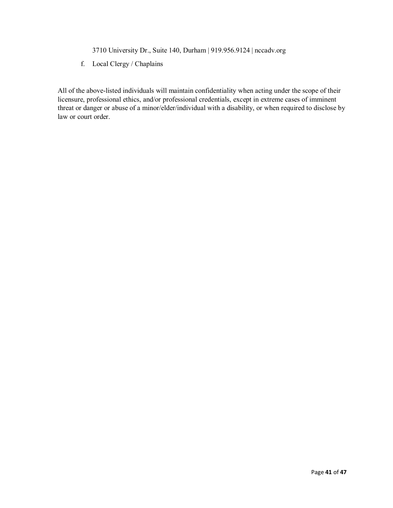3710 University Dr., Suite 140, Durham | 919.956.9124 | nccadv.org

f. Local Clergy / Chaplains

All of the above-listed individuals will maintain confidentiality when acting under the scope of their licensure, professional ethics, and/or professional credentials, except in extreme cases of imminent threat or danger or abuse of a minor/elder/individual with a disability, or when required to disclose by law or court order.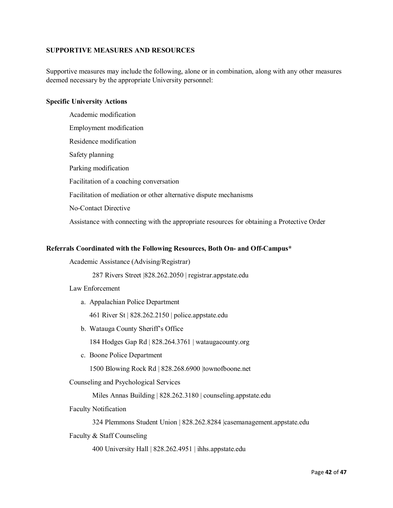#### **SUPPORTIVE MEASURES AND RESOURCES**

Supportive measures may include the following, alone or in combination, along with any other measures deemed necessary by the appropriate University personnel:

#### **Specific University Actions**

Academic modification Employment modification Residence modification Safety planning Parking modification Facilitation of a coaching conversation Facilitation of mediation or other alternative dispute mechanisms No-Contact Directive Assistance with connecting with the appropriate resources for obtaining a Protective Order

#### **Referrals Coordinated with the Following Resources, Both On- and Off-Campus\***

Academic Assistance (Advising/Registrar)

287 Rivers Street |828.262.2050 | registrar.appstate.edu

#### Law Enforcement

a. Appalachian Police Department

461 River St | 828.262.2150 | police.appstate.edu

b. Watauga County Sheriff's Office

184 Hodges Gap Rd | 828.264.3761 | wataugacounty.org

c. Boone Police Department

1500 Blowing Rock Rd | 828.268.6900 |townofboone.net

Counseling and Psychological Services

Miles Annas Building | 828.262.3180 | counseling.appstate.edu

Faculty Notification

324 Plemmons Student Union | 828.262.8284 |casemanagement.appstate.edu

Faculty & Staff Counseling

400 University Hall | 828.262.4951 | ihhs.appstate.edu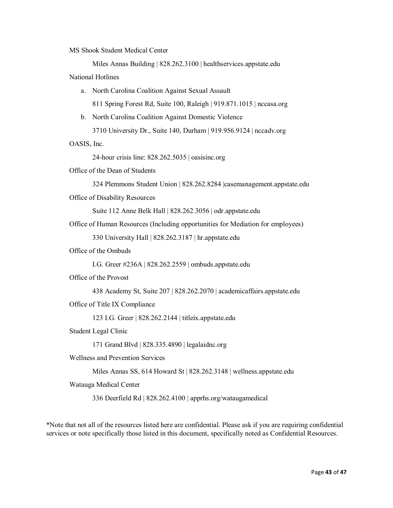MS Shook Student Medical Center

Miles Annas Building | 828.262.3100 | healthservices.appstate.edu National Hotlines

a. North Carolina Coalition Against Sexual Assault

811 Spring Forest Rd, Suite 100, Raleigh | 919.871.1015 | nccasa.org

b. North Carolina Coalition Against Domestic Violence

3710 University Dr., Suite 140, Durham | 919.956.9124 | nccadv.org

OASIS, Inc.

24-hour crisis line: 828.262.5035 | oasisinc.org

Office of the Dean of Students

```
324 Plemmons Student Union | 828.262.8284 |casemanagement.appstate.edu
```
Office of Disability Resources

Suite 112 Anne Belk Hall | 828.262.3056 | odr.appstate.edu

Office of Human Resources (Including opportunities for Mediation for employees)

330 University Hall | 828.262.3187 | hr.appstate.edu

Office of the Ombuds

I.G. Greer #236A | 828.262.2559 | ombuds.appstate.edu

Office of the Provost

438 Academy St, Suite 207 | 828.262.2070 | academicaffairs.appstate.edu

Office of Title IX Compliance

123 I.G. Greer | 828.262.2144 | titleix.appstate.edu

Student Legal Clinic

171 Grand Blvd | 828.335.4890 | legalaidnc.org

Wellness and Prevention Services

Miles Annas SS, 614 Howard St | 828.262.3148 | wellness.appstate.edu

Watauga Medical Center

336 Deerfield Rd | 828.262.4100 | apprhs.org/wataugamedical

\*Note that not all of the resources listed here are confidential. Please ask if you are requiring confidential services or note specifically those listed in this document, specifically noted as Confidential Resources.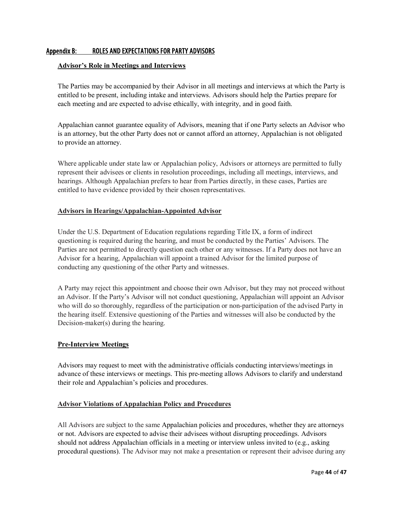## <span id="page-44-0"></span>Appendix B: ROLES AND EXPECTATIONS FOR PARTY ADVISORS

#### **Advisor's Role in Meetings and Interviews**

The Parties may be accompanied by their Advisor in all meetings and interviews at which the Party is entitled to be present, including intake and interviews. Advisors should help the Parties prepare for each meeting and are expected to advise ethically, with integrity, and in good faith.

Appalachian cannot guarantee equality of Advisors, meaning that if one Party selects an Advisor who is an attorney, but the other Party does not or cannot afford an attorney, Appalachian is not obligated to provide an attorney.

Where applicable under state law or Appalachian policy, Advisors or attorneys are permitted to fully represent their advisees or clients in resolution proceedings, including all meetings, interviews, and hearings. Although Appalachian prefers to hear from Parties directly, in these cases, Parties are entitled to have evidence provided by their chosen representatives.

#### **Advisors in Hearings/Appalachian-Appointed Advisor**

Under the U.S. Department of Education regulations regarding Title IX, a form of indirect questioning is required during the hearing, and must be conducted by the Parties' Advisors. The Parties are not permitted to directly question each other or any witnesses. If a Party does not have an Advisor for a hearing, Appalachian will appoint a trained Advisor for the limited purpose of conducting any questioning of the other Party and witnesses.

A Party may reject this appointment and choose their own Advisor, but they may not proceed without an Advisor. If the Party's Advisor will not conduct questioning, Appalachian will appoint an Advisor who will do so thoroughly, regardless of the participation or non-participation of the advised Party in the hearing itself. Extensive questioning of the Parties and witnesses will also be conducted by the Decision-maker(s) during the hearing.

#### **Pre-Interview Meetings**

Advisors may request to meet with the administrative officials conducting interviews/meetings in advance of these interviews or meetings. This pre-meeting allows Advisors to clarify and understand their role and Appalachian's policies and procedures.

## **Advisor Violations of Appalachian Policy and Procedures**

All Advisors are subject to the same Appalachian policies and procedures, whether they are attorneys or not. Advisors are expected to advise their advisees without disrupting proceedings. Advisors should not address Appalachian officials in a meeting or interview unless invited to (e.g., asking procedural questions). The Advisor may not make a presentation or represent their advisee during any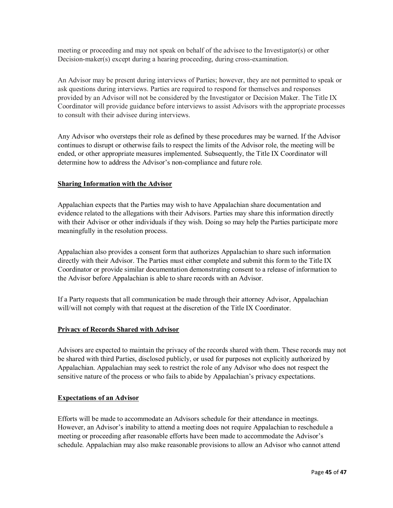meeting or proceeding and may not speak on behalf of the advisee to the Investigator(s) or other Decision-maker(s) except during a hearing proceeding, during cross-examination.

An Advisor may be present during interviews of Parties; however, they are not permitted to speak or ask questions during interviews. Parties are required to respond for themselves and responses provided by an Advisor will not be considered by the Investigator or Decision Maker. The Title IX Coordinator will provide guidance before interviews to assist Advisors with the appropriate processes to consult with their advisee during interviews.

Any Advisor who oversteps their role as defined by these procedures may be warned. If the Advisor continues to disrupt or otherwise fails to respect the limits of the Advisor role, the meeting will be ended, or other appropriate measures implemented. Subsequently, the Title IX Coordinator will determine how to address the Advisor's non-compliance and future role.

#### **Sharing Information with the Advisor**

Appalachian expects that the Parties may wish to have Appalachian share documentation and evidence related to the allegations with their Advisors. Parties may share this information directly with their Advisor or other individuals if they wish. Doing so may help the Parties participate more meaningfully in the resolution process.

Appalachian also provides a consent form that authorizes Appalachian to share such information directly with their Advisor. The Parties must either complete and submit this form to the Title IX Coordinator or provide similar documentation demonstrating consent to a release of information to the Advisor before Appalachian is able to share records with an Advisor.

If a Party requests that all communication be made through their attorney Advisor, Appalachian will/will not comply with that request at the discretion of the Title IX Coordinator.

#### **Privacy of Records Shared with Advisor**

Advisors are expected to maintain the privacy of the records shared with them. These records may not be shared with third Parties, disclosed publicly, or used for purposes not explicitly authorized by Appalachian. Appalachian may seek to restrict the role of any Advisor who does not respect the sensitive nature of the process or who fails to abide by Appalachian's privacy expectations.

#### **Expectations of an Advisor**

Efforts will be made to accommodate an Advisors schedule for their attendance in meetings. However, an Advisor's inability to attend a meeting does not require Appalachian to reschedule a meeting or proceeding after reasonable efforts have been made to accommodate the Advisor's schedule. Appalachian may also make reasonable provisions to allow an Advisor who cannot attend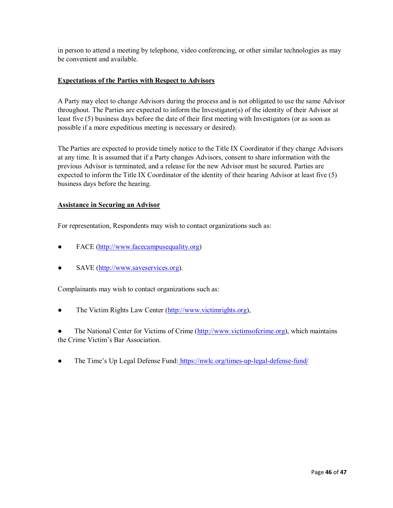in person to attend a meeting by telephone, video conferencing, or other similar technologies as may be convenient and available.

#### **Expectations of the Parties with Respect to Advisors**

A Party may elect to change Advisors during the process and is not obligated to use the same Advisor throughout. The Parties are expected to inform the Investigator(s) of the identity of their Advisor at least five (5) business days before the date of their first meeting with Investigators (or as soon as possible if a more expeditious meeting is necessary or desired).

The Parties are expected to provide timely notice to the Title IX Coordinator if they change Advisors at any time. It is assumed that if a Party changes Advisors, consent to share information with the previous Advisor is terminated, and a release for the new Advisor must be secured. Parties are expected to inform the Title IX Coordinator of the identity of their hearing Advisor at least five (5) business days before the hearing.

#### **Assistance in Securing an Advisor**

For representation, Respondents may wish to contact organizations such as:

- FACE [\(http://www.facecampusequality.org\)](http://www.facecampusequality.org/)
- SAVE [\(http://www.saveservices.org\)](http://www.saveservices.org/).

Complainants may wish to contact organizations such as:

• The Victim Rights Law Center [\(http://www.victimrights.org\)](http://www.victimrights.org/),

• The National Center for Victims of Crime [\(http://www.victimsofcrime.org\)](http://www.victimsofcrime.org/), which maintains the Crime Victim's Bar Association.

• The Time's Up Legal Defense Fund: <https://nwlc.org/times-up-legal-defense-fund/>